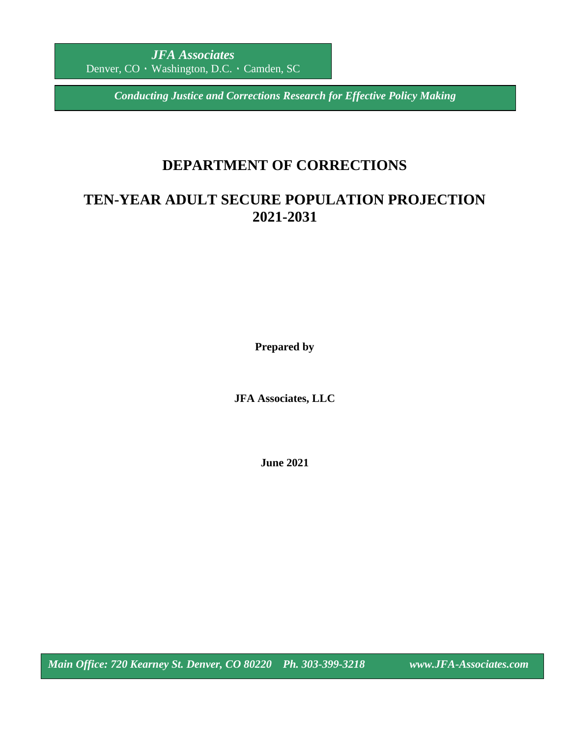*Conducting Justice and Corrections Research for Effective Policy Making*

# **DEPARTMENT OF CORRECTIONS**

# **TEN-YEAR ADULT SECURE POPULATION PROJECTION 2021-2031**

**Prepared by**

**JFA Associates, LLC**

**June 2021**

*Main Office: 720 Kearney St. Denver, CO 80220 Ph. 303-399-3218 www.JFA-Associates.com*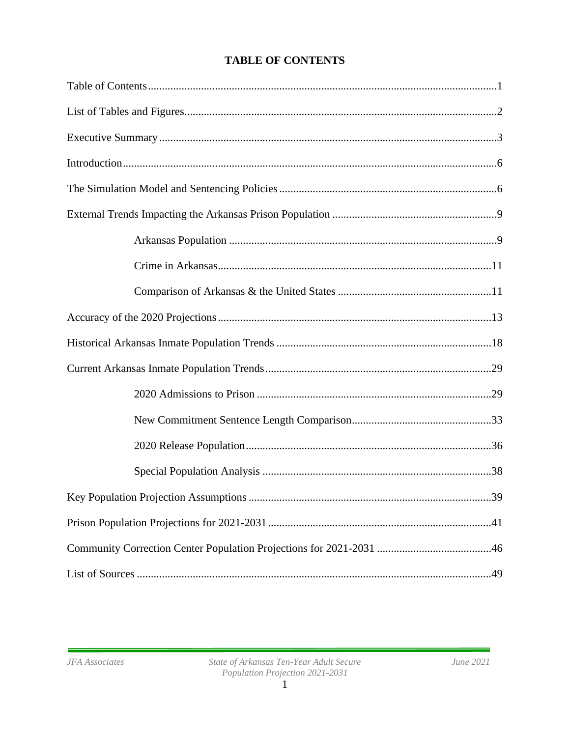| 39 |
|----|
|    |
|    |
|    |

# **TABLE OF CONTENTS**

í.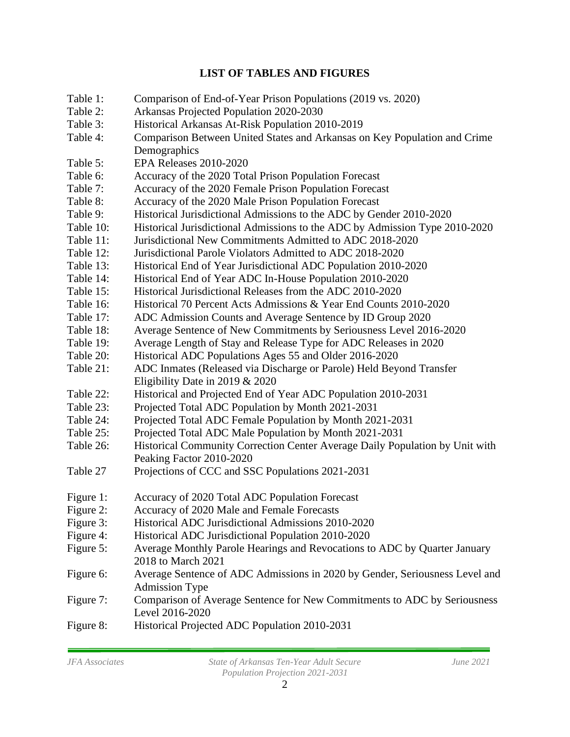# **LIST OF TABLES AND FIGURES**

| Table 1:  | Comparison of End-of-Year Prison Populations (2019 vs. 2020)                                         |
|-----------|------------------------------------------------------------------------------------------------------|
| Table 2:  | Arkansas Projected Population 2020-2030                                                              |
| Table 3:  | Historical Arkansas At-Risk Population 2010-2019                                                     |
| Table 4:  | Comparison Between United States and Arkansas on Key Population and Crime                            |
|           | Demographics                                                                                         |
| Table 5:  | EPA Releases 2010-2020                                                                               |
| Table 6:  | Accuracy of the 2020 Total Prison Population Forecast                                                |
| Table 7:  | Accuracy of the 2020 Female Prison Population Forecast                                               |
| Table 8:  | Accuracy of the 2020 Male Prison Population Forecast                                                 |
| Table 9:  | Historical Jurisdictional Admissions to the ADC by Gender 2010-2020                                  |
| Table 10: | Historical Jurisdictional Admissions to the ADC by Admission Type 2010-2020                          |
| Table 11: | Jurisdictional New Commitments Admitted to ADC 2018-2020                                             |
| Table 12: | Jurisdictional Parole Violators Admitted to ADC 2018-2020                                            |
| Table 13: | Historical End of Year Jurisdictional ADC Population 2010-2020                                       |
| Table 14: | Historical End of Year ADC In-House Population 2010-2020                                             |
| Table 15: | Historical Jurisdictional Releases from the ADC 2010-2020                                            |
| Table 16: | Historical 70 Percent Acts Admissions & Year End Counts 2010-2020                                    |
| Table 17: | ADC Admission Counts and Average Sentence by ID Group 2020                                           |
| Table 18: | Average Sentence of New Commitments by Seriousness Level 2016-2020                                   |
| Table 19: | Average Length of Stay and Release Type for ADC Releases in 2020                                     |
| Table 20: | Historical ADC Populations Ages 55 and Older 2016-2020                                               |
| Table 21: | ADC Inmates (Released via Discharge or Parole) Held Beyond Transfer                                  |
|           | Eligibility Date in 2019 $& 2020$                                                                    |
| Table 22: | Historical and Projected End of Year ADC Population 2010-2031                                        |
| Table 23: | Projected Total ADC Population by Month 2021-2031                                                    |
| Table 24: | Projected Total ADC Female Population by Month 2021-2031                                             |
| Table 25: | Projected Total ADC Male Population by Month 2021-2031                                               |
| Table 26: | Historical Community Correction Center Average Daily Population by Unit with                         |
|           | Peaking Factor 2010-2020                                                                             |
| Table 27  | Projections of CCC and SSC Populations 2021-2031                                                     |
| Figure 1: | Accuracy of 2020 Total ADC Population Forecast                                                       |
| Figure 2: | Accuracy of 2020 Male and Female Forecasts                                                           |
| Figure 3: | Historical ADC Jurisdictional Admissions 2010-2020                                                   |
| Figure 4: | Historical ADC Jurisdictional Population 2010-2020                                                   |
| Figure 5: | Average Monthly Parole Hearings and Revocations to ADC by Quarter January<br>2018 to March 2021      |
| Figure 6: | Average Sentence of ADC Admissions in 2020 by Gender, Seriousness Level and<br><b>Admission Type</b> |
| Figure 7: | Comparison of Average Sentence for New Commitments to ADC by Seriousness<br>Level 2016-2020          |
| Figure 8: | Historical Projected ADC Population 2010-2031                                                        |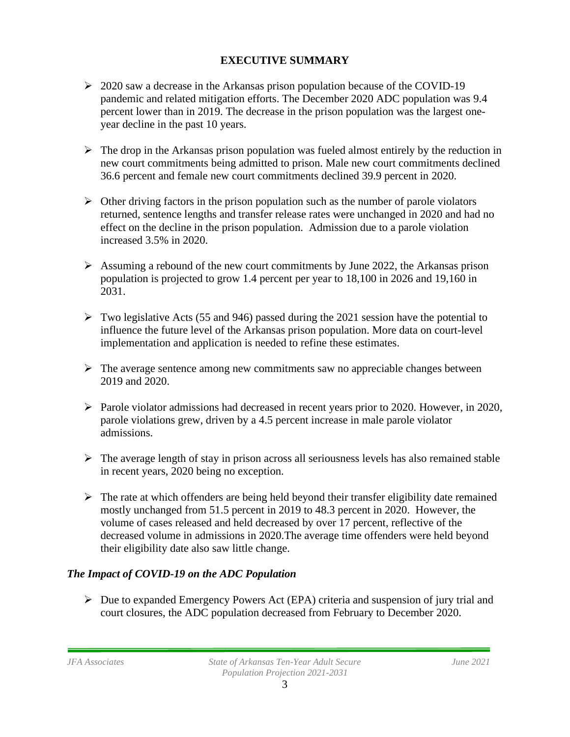### **EXECUTIVE SUMMARY**

- $\geq 2020$  saw a decrease in the Arkansas prison population because of the COVID-19 pandemic and related mitigation efforts. The December 2020 ADC population was 9.4 percent lower than in 2019. The decrease in the prison population was the largest oneyear decline in the past 10 years.
- $\triangleright$  The drop in the Arkansas prison population was fueled almost entirely by the reduction in new court commitments being admitted to prison. Male new court commitments declined 36.6 percent and female new court commitments declined 39.9 percent in 2020.
- $\triangleright$  Other driving factors in the prison population such as the number of parole violators returned, sentence lengths and transfer release rates were unchanged in 2020 and had no effect on the decline in the prison population. Admission due to a parole violation increased 3.5% in 2020.
- $\triangleright$  Assuming a rebound of the new court commitments by June 2022, the Arkansas prison population is projected to grow 1.4 percent per year to 18,100 in 2026 and 19,160 in 2031.
- $\triangleright$  Two legislative Acts (55 and 946) passed during the 2021 session have the potential to influence the future level of the Arkansas prison population. More data on court-level implementation and application is needed to refine these estimates.
- ➢ The average sentence among new commitments saw no appreciable changes between 2019 and 2020.
- ➢ Parole violator admissions had decreased in recent years prior to 2020. However, in 2020, parole violations grew, driven by a 4.5 percent increase in male parole violator admissions.
- $\triangleright$  The average length of stay in prison across all seriousness levels has also remained stable in recent years, 2020 being no exception.
- $\triangleright$  The rate at which offenders are being held beyond their transfer eligibility date remained mostly unchanged from 51.5 percent in 2019 to 48.3 percent in 2020. However, the volume of cases released and held decreased by over 17 percent, reflective of the decreased volume in admissions in 2020.The average time offenders were held beyond their eligibility date also saw little change.

### *The Impact of COVID-19 on the ADC Population*

 $\triangleright$  Due to expanded Emergency Powers Act (EPA) criteria and suspension of jury trial and court closures, the ADC population decreased from February to December 2020.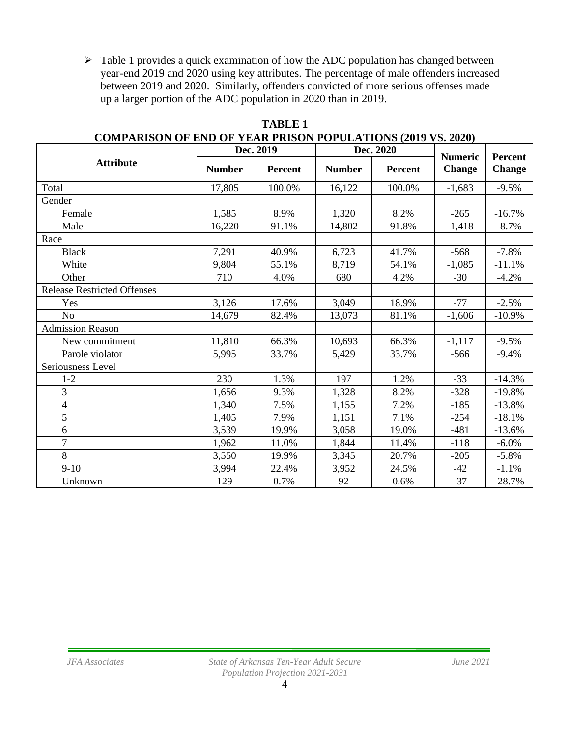➢ Table 1 provides a quick examination of how the ADC population has changed between year-end 2019 and 2020 using key attributes. The percentage of male offenders increased between 2019 and 2020. Similarly, offenders convicted of more serious offenses made up a larger portion of the ADC population in 2020 than in 2019.

|                                    | Dec. 2019     |                | Dec. 2020     |         | <b>Numeric</b> | <b>Percent</b> |
|------------------------------------|---------------|----------------|---------------|---------|----------------|----------------|
| <b>Attribute</b>                   | <b>Number</b> | <b>Percent</b> | <b>Number</b> | Percent | <b>Change</b>  | <b>Change</b>  |
| Total                              | 17,805        | 100.0%         | 16,122        | 100.0%  | $-1,683$       | $-9.5%$        |
| Gender                             |               |                |               |         |                |                |
| Female                             | 1,585         | 8.9%           | 1,320         | 8.2%    | $-265$         | $-16.7%$       |
| Male                               | 16,220        | 91.1%          | 14,802        | 91.8%   | $-1,418$       | $-8.7%$        |
| Race                               |               |                |               |         |                |                |
| <b>Black</b>                       | 7,291         | 40.9%          | 6,723         | 41.7%   | $-568$         | $-7.8%$        |
| White                              | 9,804         | 55.1%          | 8,719         | 54.1%   | $-1,085$       | $-11.1%$       |
| Other                              | 710           | 4.0%           | 680           | 4.2%    | $-30$          | $-4.2%$        |
| <b>Release Restricted Offenses</b> |               |                |               |         |                |                |
| Yes                                | 3,126         | 17.6%          | 3,049         | 18.9%   | $-77$          | $-2.5%$        |
| N <sub>o</sub>                     | 14,679        | 82.4%          | 13,073        | 81.1%   | $-1,606$       | $-10.9%$       |
| <b>Admission Reason</b>            |               |                |               |         |                |                |
| New commitment                     | 11,810        | 66.3%          | 10,693        | 66.3%   | $-1,117$       | $-9.5%$        |
| Parole violator                    | 5,995         | 33.7%          | 5,429         | 33.7%   | $-566$         | $-9.4%$        |
| Seriousness Level                  |               |                |               |         |                |                |
| $1 - 2$                            | 230           | 1.3%           | 197           | 1.2%    | $-33$          | $-14.3%$       |
| 3                                  | 1,656         | 9.3%           | 1,328         | 8.2%    | $-328$         | $-19.8%$       |
| $\overline{\mathcal{L}}$           | 1,340         | 7.5%           | 1,155         | 7.2%    | $-185$         | $-13.8%$       |
| $\overline{5}$                     | 1,405         | 7.9%           | 1,151         | 7.1%    | $-254$         | $-18.1%$       |
| 6                                  | 3,539         | 19.9%          | 3,058         | 19.0%   | $-481$         | $-13.6%$       |
| $\tau$                             | 1,962         | 11.0%          | 1,844         | 11.4%   | $-118$         | $-6.0\%$       |
| 8                                  | 3,550         | 19.9%          | 3,345         | 20.7%   | $-205$         | $-5.8%$        |
| $9-10$                             | 3,994         | 22.4%          | 3,952         | 24.5%   | -42            | $-1.1%$        |
| Unknown                            | 129           | 0.7%           | 92            | 0.6%    | $-37$          | $-28.7%$       |

**TABLE 1 COMPARISON OF END OF YEAR PRISON POPULATIONS (2019 VS. 2020)**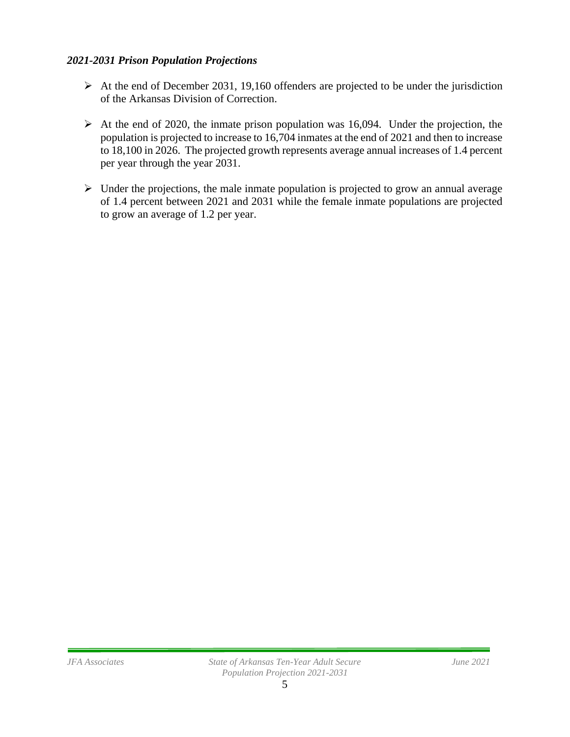#### *2021-2031 Prison Population Projections*

- $\triangleright$  At the end of December 2031, 19,160 offenders are projected to be under the jurisdiction of the Arkansas Division of Correction.
- $\triangleright$  At the end of 2020, the inmate prison population was 16,094. Under the projection, the population is projected to increase to 16,704 inmates at the end of 2021 and then to increase to 18,100 in 2026. The projected growth represents average annual increases of 1.4 percent per year through the year 2031.
- $\triangleright$  Under the projections, the male inmate population is projected to grow an annual average of 1.4 percent between 2021 and 2031 while the female inmate populations are projected to grow an average of 1.2 per year.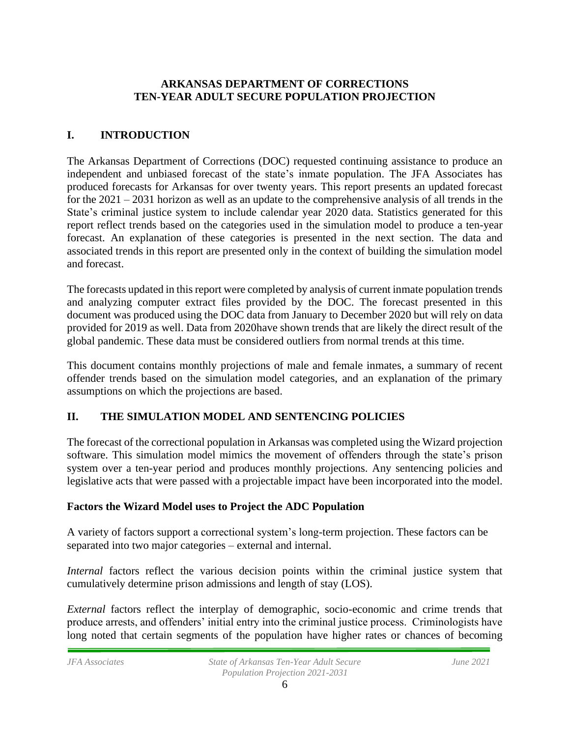### **ARKANSAS DEPARTMENT OF CORRECTIONS TEN-YEAR ADULT SECURE POPULATION PROJECTION**

# **I. INTRODUCTION**

The Arkansas Department of Corrections (DOC) requested continuing assistance to produce an independent and unbiased forecast of the state's inmate population. The JFA Associates has produced forecasts for Arkansas for over twenty years. This report presents an updated forecast for the 2021 – 2031 horizon as well as an update to the comprehensive analysis of all trends in the State's criminal justice system to include calendar year 2020 data. Statistics generated for this report reflect trends based on the categories used in the simulation model to produce a ten-year forecast. An explanation of these categories is presented in the next section. The data and associated trends in this report are presented only in the context of building the simulation model and forecast.

The forecasts updated in this report were completed by analysis of current inmate population trends and analyzing computer extract files provided by the DOC. The forecast presented in this document was produced using the DOC data from January to December 2020 but will rely on data provided for 2019 as well. Data from 2020have shown trends that are likely the direct result of the global pandemic. These data must be considered outliers from normal trends at this time.

This document contains monthly projections of male and female inmates, a summary of recent offender trends based on the simulation model categories, and an explanation of the primary assumptions on which the projections are based.

# **II. THE SIMULATION MODEL AND SENTENCING POLICIES**

The forecast of the correctional population in Arkansas was completed using the Wizard projection software. This simulation model mimics the movement of offenders through the state's prison system over a ten-year period and produces monthly projections. Any sentencing policies and legislative acts that were passed with a projectable impact have been incorporated into the model.

### **Factors the Wizard Model uses to Project the ADC Population**

A variety of factors support a correctional system's long-term projection. These factors can be separated into two major categories – external and internal.

*Internal* factors reflect the various decision points within the criminal justice system that cumulatively determine prison admissions and length of stay (LOS).

*External* factors reflect the interplay of demographic, socio-economic and crime trends that produce arrests, and offenders' initial entry into the criminal justice process. Criminologists have long noted that certain segments of the population have higher rates or chances of becoming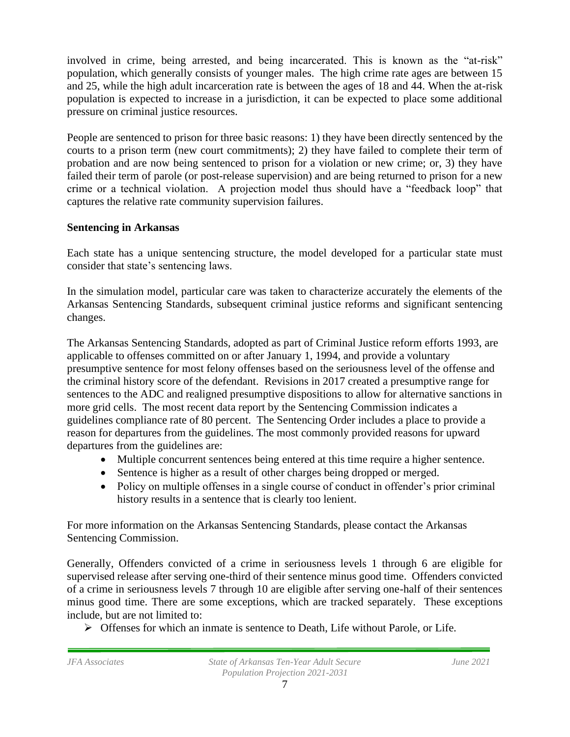involved in crime, being arrested, and being incarcerated. This is known as the "at-risk" population, which generally consists of younger males. The high crime rate ages are between 15 and 25, while the high adult incarceration rate is between the ages of 18 and 44. When the at-risk population is expected to increase in a jurisdiction, it can be expected to place some additional pressure on criminal justice resources.

People are sentenced to prison for three basic reasons: 1) they have been directly sentenced by the courts to a prison term (new court commitments); 2) they have failed to complete their term of probation and are now being sentenced to prison for a violation or new crime; or, 3) they have failed their term of parole (or post-release supervision) and are being returned to prison for a new crime or a technical violation. A projection model thus should have a "feedback loop" that captures the relative rate community supervision failures.

### **Sentencing in Arkansas**

Each state has a unique sentencing structure, the model developed for a particular state must consider that state's sentencing laws.

In the simulation model, particular care was taken to characterize accurately the elements of the Arkansas Sentencing Standards, subsequent criminal justice reforms and significant sentencing changes.

The Arkansas Sentencing Standards, adopted as part of Criminal Justice reform efforts 1993, are applicable to offenses committed on or after January 1, 1994, and provide a voluntary presumptive sentence for most felony offenses based on the seriousness level of the offense and the criminal history score of the defendant. Revisions in 2017 created a presumptive range for sentences to the ADC and realigned presumptive dispositions to allow for alternative sanctions in more grid cells. The most recent data report by the Sentencing Commission indicates a guidelines compliance rate of 80 percent. The Sentencing Order includes a place to provide a reason for departures from the guidelines. The most commonly provided reasons for upward departures from the guidelines are:

- Multiple concurrent sentences being entered at this time require a higher sentence.
- Sentence is higher as a result of other charges being dropped or merged.
- Policy on multiple offenses in a single course of conduct in offender's prior criminal history results in a sentence that is clearly too lenient.

For more information on the Arkansas Sentencing Standards, please contact the Arkansas Sentencing Commission.

Generally, Offenders convicted of a crime in seriousness levels 1 through 6 are eligible for supervised release after serving one-third of their sentence minus good time. Offenders convicted of a crime in seriousness levels 7 through 10 are eligible after serving one-half of their sentences minus good time. There are some exceptions, which are tracked separately. These exceptions include, but are not limited to:

➢ Offenses for which an inmate is sentence to Death, Life without Parole, or Life.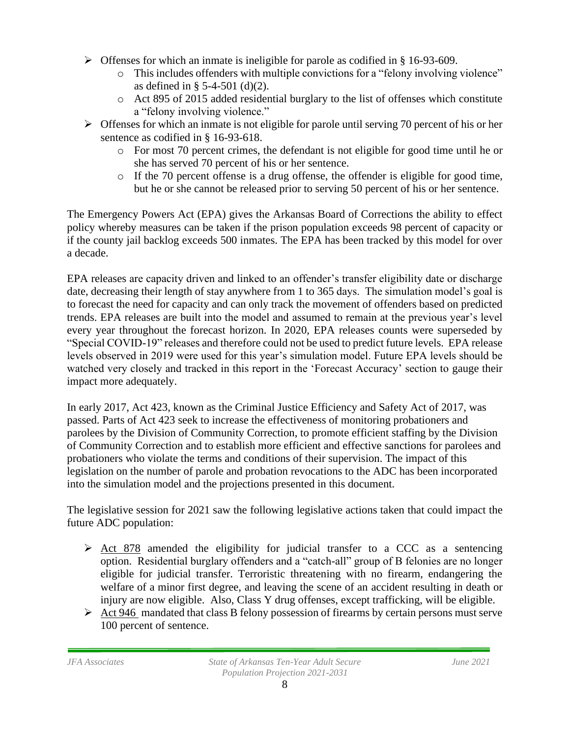- $\triangleright$  Offenses for which an inmate is ineligible for parole as codified in § 16-93-609.
	- o This includes offenders with multiple convictions for a "felony involving violence" as defined in § 5-4-501 (d)(2).
	- o Act 895 of 2015 added residential burglary to the list of offenses which constitute a "felony involving violence."
- ➢ Offenses for which an inmate is not eligible for parole until serving 70 percent of his or her sentence as codified in § 16-93-618.
	- o For most 70 percent crimes, the defendant is not eligible for good time until he or she has served 70 percent of his or her sentence.
	- $\circ$  If the 70 percent offense is a drug offense, the offender is eligible for good time, but he or she cannot be released prior to serving 50 percent of his or her sentence.

The Emergency Powers Act (EPA) gives the Arkansas Board of Corrections the ability to effect policy whereby measures can be taken if the prison population exceeds 98 percent of capacity or if the county jail backlog exceeds 500 inmates. The EPA has been tracked by this model for over a decade.

EPA releases are capacity driven and linked to an offender's transfer eligibility date or discharge date, decreasing their length of stay anywhere from 1 to 365 days. The simulation model's goal is to forecast the need for capacity and can only track the movement of offenders based on predicted trends. EPA releases are built into the model and assumed to remain at the previous year's level every year throughout the forecast horizon. In 2020, EPA releases counts were superseded by "Special COVID-19" releases and therefore could not be used to predict future levels. EPA release levels observed in 2019 were used for this year's simulation model. Future EPA levels should be watched very closely and tracked in this report in the 'Forecast Accuracy' section to gauge their impact more adequately.

In early 2017, Act 423, known as the Criminal Justice Efficiency and Safety Act of 2017, was passed. Parts of Act 423 seek to increase the effectiveness of monitoring probationers and parolees by the Division of Community Correction, to promote efficient staffing by the Division of Community Correction and to establish more efficient and effective sanctions for parolees and probationers who violate the terms and conditions of their supervision. The impact of this legislation on the number of parole and probation revocations to the ADC has been incorporated into the simulation model and the projections presented in this document.

The legislative session for 2021 saw the following legislative actions taken that could impact the future ADC population:

- $\triangleright$  [Act 878](https://www.arkleg.state.ar.us/Acts/FTPDocument?file=878&path=%2FACTS%2F2021R%2FPublic%2F&ddBienniumSession=2021%2F2021R&Search=) amended the eligibility for judicial transfer to a CCC as a sentencing option. Residential burglary offenders and a "catch-all" group of B felonies are no longer eligible for judicial transfer. Terroristic threatening with no firearm, endangering the welfare of a minor first degree, and leaving the scene of an accident resulting in death or injury are now eligible. Also, Class Y drug offenses, except trafficking, will be eligible.
- $\triangleright$  [Act 946](https://www.arkleg.state.ar.us/Acts/FTPDocument?path=%2FACTS%2F2021R%2FPublic%2F&file=946.pdf&ddBienniumSession=2021%2F2021R) mandated that class B felony possession of firearms by certain persons must serve 100 percent of sentence.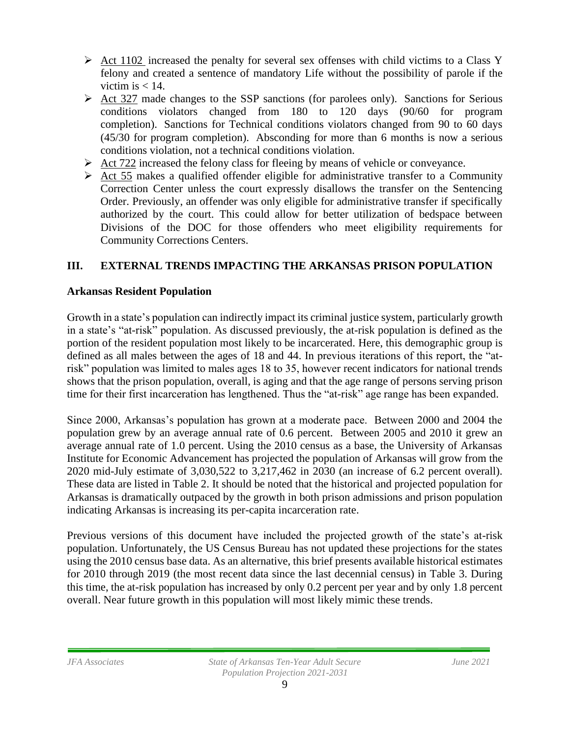- $\triangleright$  [Act 1102](https://www.arkleg.state.ar.us/Acts/FTPDocument?path=%2FACTS%2F2021R%2FPublic%2F&file=1102.pdf&ddBienniumSession=2021%2F2021R) increased the penalty for several sex offenses with child victims to a Class Y felony and created a sentence of mandatory Life without the possibility of parole if the victim is  $< 14$ .
- $\triangleright$  [Act 327](https://www.arkleg.state.ar.us/Acts/FTPDocument?file=327&path=%2FACTS%2F2021R%2FPublic%2F&ddBienniumSession=2021%2F2021R&Search=) made changes to the SSP sanctions (for parolees only). Sanctions for Serious conditions violators changed from 180 to 120 days (90/60 for program completion). Sanctions for Technical conditions violators changed from 90 to 60 days (45/30 for program completion). Absconding for more than 6 months is now a serious conditions violation, not a technical conditions violation.
- $\triangleright$  [Act 722](https://www.arkleg.state.ar.us/Acts/FTPDocument?path=%2FACTS%2F2021R%2FPublic%2F&file=722.pdf&ddBienniumSession=2021%2F2021R) increased the felony class for fleeing by means of vehicle or conveyance.
- $\triangleright$  Act 55 makes a qualified offender eligible for administrative transfer to a Community Correction Center unless the court expressly disallows the transfer on the Sentencing Order. Previously, an offender was only eligible for administrative transfer if specifically authorized by the court. This could allow for better utilization of bedspace between Divisions of the DOC for those offenders who meet eligibility requirements for Community Corrections Centers.

# **III. EXTERNAL TRENDS IMPACTING THE ARKANSAS PRISON POPULATION**

### **Arkansas Resident Population**

Growth in a state's population can indirectly impact its criminal justice system, particularly growth in a state's "at-risk" population. As discussed previously, the at-risk population is defined as the portion of the resident population most likely to be incarcerated. Here, this demographic group is defined as all males between the ages of 18 and 44. In previous iterations of this report, the "atrisk" population was limited to males ages 18 to 35, however recent indicators for national trends shows that the prison population, overall, is aging and that the age range of persons serving prison time for their first incarceration has lengthened. Thus the "at-risk" age range has been expanded.

Since 2000, Arkansas's population has grown at a moderate pace. Between 2000 and 2004 the population grew by an average annual rate of 0.6 percent. Between 2005 and 2010 it grew an average annual rate of 1.0 percent. Using the 2010 census as a base, the University of Arkansas Institute for Economic Advancement has projected the population of Arkansas will grow from the 2020 mid-July estimate of 3,030,522 to 3,217,462 in 2030 (an increase of 6.2 percent overall). These data are listed in Table 2. It should be noted that the historical and projected population for Arkansas is dramatically outpaced by the growth in both prison admissions and prison population indicating Arkansas is increasing its per-capita incarceration rate.

Previous versions of this document have included the projected growth of the state's at-risk population. Unfortunately, the US Census Bureau has not updated these projections for the states using the 2010 census base data. As an alternative, this brief presents available historical estimates for 2010 through 2019 (the most recent data since the last decennial census) in Table 3. During this time, the at-risk population has increased by only 0.2 percent per year and by only 1.8 percent overall. Near future growth in this population will most likely mimic these trends.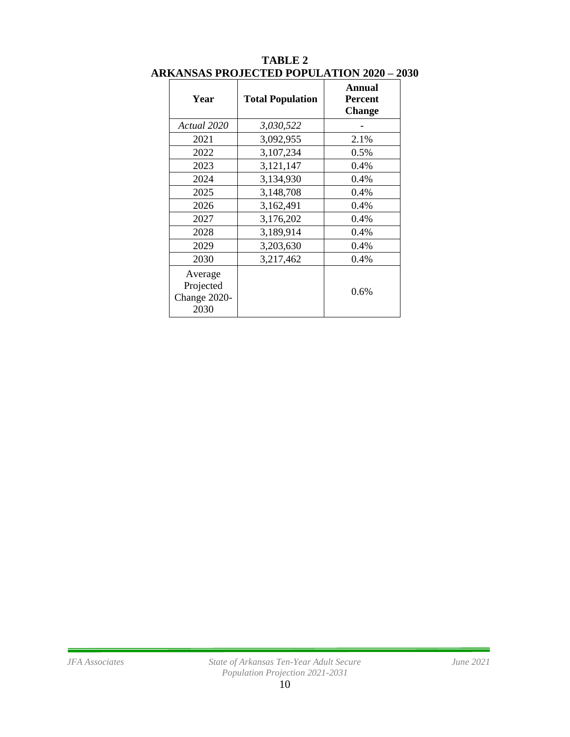| Year                                         | <b>Total Population</b> | Annual<br><b>Percent</b><br><b>Change</b> |
|----------------------------------------------|-------------------------|-------------------------------------------|
| Actual 2020                                  | 3,030,522               |                                           |
| 2021                                         | 3,092,955               | 2.1%                                      |
| 2022                                         | 3,107,234               | 0.5%                                      |
| 2023                                         | 3,121,147               | 0.4%                                      |
| 2024                                         | 3,134,930               | 0.4%                                      |
| 2025                                         | 3,148,708               | 0.4%                                      |
| 2026                                         | 3,162,491               | 0.4%                                      |
| 2027                                         | 3,176,202               | 0.4%                                      |
| 2028                                         | 3,189,914               | 0.4%                                      |
| 2029                                         | 3,203,630               | 0.4%                                      |
| 2030                                         | 3,217,462               | 0.4%                                      |
| Average<br>Projected<br>Change 2020-<br>2030 |                         | 0.6%                                      |

#### **TABLE 2 ARKANSAS PROJECTED POPULATION 2020 – 2030**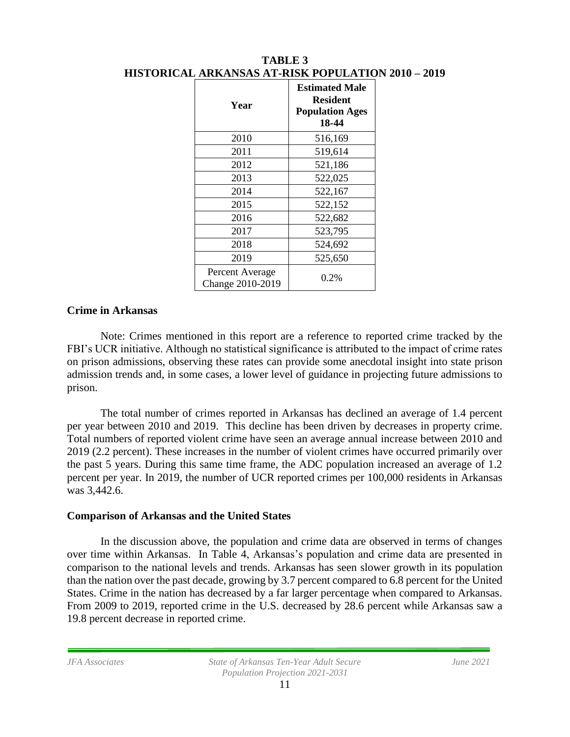| Year                                | <b>Estimated Male</b><br><b>Resident</b><br><b>Population Ages</b><br>18-44 |
|-------------------------------------|-----------------------------------------------------------------------------|
| 2010                                | 516,169                                                                     |
| 2011                                | 519,614                                                                     |
| 2012                                | 521,186                                                                     |
| 2013                                | 522,025                                                                     |
| 2014                                | 522,167                                                                     |
| 2015                                | 522,152                                                                     |
| 2016                                | 522,682                                                                     |
| 2017                                | 523,795                                                                     |
| 2018                                | 524,692                                                                     |
| 2019                                | 525,650                                                                     |
| Percent Average<br>Change 2010-2019 | $0.2\%$                                                                     |

**TABLE 3 HISTORICAL ARKANSAS AT-RISK POPULATION 2010 – 2019**

#### **Crime in Arkansas**

Note: Crimes mentioned in this report are a reference to reported crime tracked by the FBI's UCR initiative. Although no statistical significance is attributed to the impact of crime rates on prison admissions, observing these rates can provide some anecdotal insight into state prison admission trends and, in some cases, a lower level of guidance in projecting future admissions to prison.

The total number of crimes reported in Arkansas has declined an average of 1.4 percent per year between 2010 and 2019. This decline has been driven by decreases in property crime. Total numbers of reported violent crime have seen an average annual increase between 2010 and 2019 (2.2 percent). These increases in the number of violent crimes have occurred primarily over the past 5 years. During this same time frame, the ADC population increased an average of 1.2 percent per year. In 2019, the number of UCR reported crimes per 100,000 residents in Arkansas was 3,442.6.

#### **Comparison of Arkansas and the United States**

In the discussion above, the population and crime data are observed in terms of changes over time within Arkansas. In Table 4, Arkansas's population and crime data are presented in comparison to the national levels and trends. Arkansas has seen slower growth in its population than the nation over the past decade, growing by 3.7 percent compared to 6.8 percent for the United States. Crime in the nation has decreased by a far larger percentage when compared to Arkansas. From 2009 to 2019, reported crime in the U.S. decreased by 28.6 percent while Arkansas saw a 19.8 percent decrease in reported crime.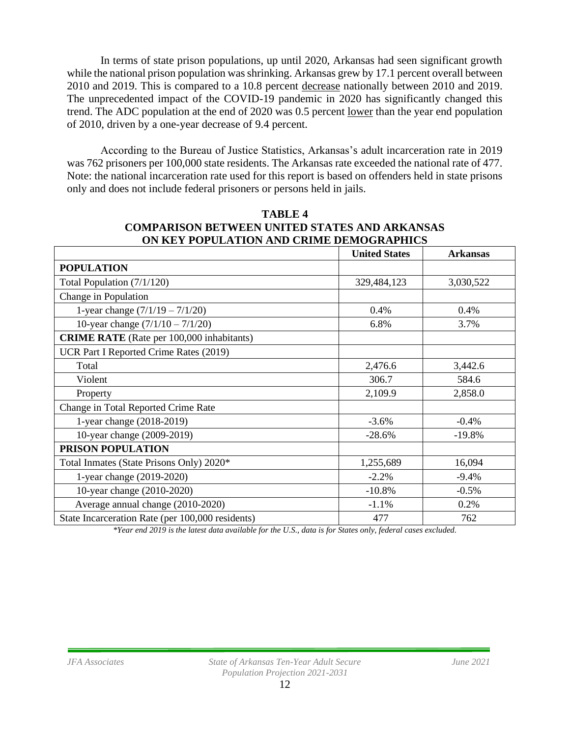In terms of state prison populations, up until 2020, Arkansas had seen significant growth while the national prison population was shrinking. Arkansas grew by 17.1 percent overall between 2010 and 2019. This is compared to a 10.8 percent decrease nationally between 2010 and 2019. The unprecedented impact of the COVID-19 pandemic in 2020 has significantly changed this trend. The ADC population at the end of 2020 was 0.5 percent lower than the year end population of 2010, driven by a one-year decrease of 9.4 percent.

According to the Bureau of Justice Statistics, Arkansas's adult incarceration rate in 2019 was 762 prisoners per 100,000 state residents. The Arkansas rate exceeded the national rate of 477. Note: the national incarceration rate used for this report is based on offenders held in state prisons only and does not include federal prisoners or persons held in jails.

|                                                  | <b>United States</b> | <b>Arkansas</b> |
|--------------------------------------------------|----------------------|-----------------|
| <b>POPULATION</b>                                |                      |                 |
| Total Population (7/1/120)                       | 329,484,123          | 3,030,522       |
| Change in Population                             |                      |                 |
| 1-year change $(7/1/19 - 7/1/20)$                | 0.4%                 | 0.4%            |
| 10-year change $(7/1/10 - 7/1/20)$               | 6.8%                 | 3.7%            |
| <b>CRIME RATE</b> (Rate per 100,000 inhabitants) |                      |                 |
| UCR Part I Reported Crime Rates (2019)           |                      |                 |
| Total                                            | 2,476.6              | 3,442.6         |
| Violent                                          | 306.7                | 584.6           |
| Property                                         | 2,109.9              | 2,858.0         |
| Change in Total Reported Crime Rate              |                      |                 |
| 1-year change (2018-2019)                        | $-3.6%$              | $-0.4%$         |
| 10-year change (2009-2019)                       | $-28.6%$             | $-19.8%$        |
| PRISON POPULATION                                |                      |                 |
| Total Inmates (State Prisons Only) 2020*         | 1,255,689            | 16,094          |
| 1-year change (2019-2020)                        | $-2.2%$              | $-9.4%$         |
| 10-year change (2010-2020)                       | $-10.8%$             | $-0.5%$         |
| Average annual change (2010-2020)                | $-1.1%$              | 0.2%            |
| State Incarceration Rate (per 100,000 residents) | 477                  | 762             |

### **TABLE 4 COMPARISON BETWEEN UNITED STATES AND ARKANSAS ON KEY POPULATION AND CRIME DEMOGRAPHICS**

*\*Year end 2019 is the latest data available for the U.S., data is for States only, federal cases excluded.*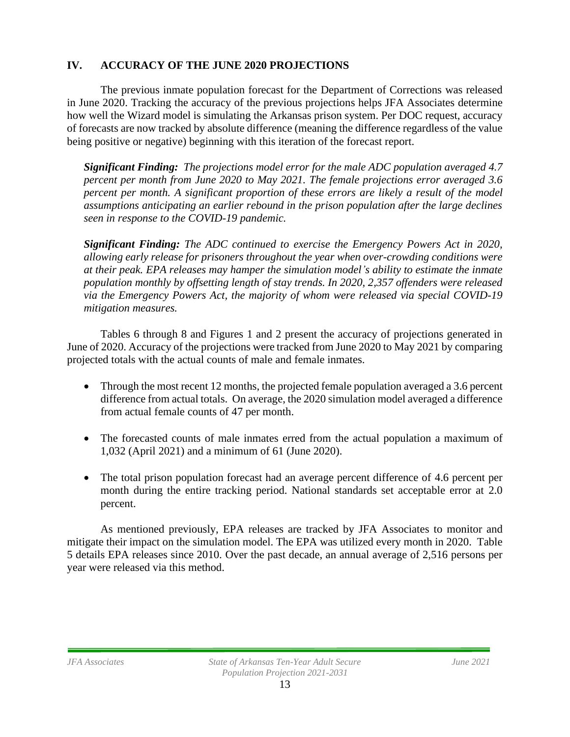### **IV. ACCURACY OF THE JUNE 2020 PROJECTIONS**

The previous inmate population forecast for the Department of Corrections was released in June 2020. Tracking the accuracy of the previous projections helps JFA Associates determine how well the Wizard model is simulating the Arkansas prison system. Per DOC request, accuracy of forecasts are now tracked by absolute difference (meaning the difference regardless of the value being positive or negative) beginning with this iteration of the forecast report.

*Significant Finding: The projections model error for the male ADC population averaged 4.7 percent per month from June 2020 to May 2021. The female projections error averaged 3.6 percent per month. A significant proportion of these errors are likely a result of the model assumptions anticipating an earlier rebound in the prison population after the large declines seen in response to the COVID-19 pandemic.* 

*Significant Finding: The ADC continued to exercise the Emergency Powers Act in 2020, allowing early release for prisoners throughout the year when over-crowding conditions were at their peak. EPA releases may hamper the simulation model's ability to estimate the inmate population monthly by offsetting length of stay trends. In 2020, 2,357 offenders were released via the Emergency Powers Act, the majority of whom were released via special COVID-19 mitigation measures.* 

Tables 6 through 8 and Figures 1 and 2 present the accuracy of projections generated in June of 2020. Accuracy of the projections were tracked from June 2020 to May 2021 by comparing projected totals with the actual counts of male and female inmates.

- Through the most recent 12 months, the projected female population averaged a 3.6 percent difference from actual totals. On average, the 2020 simulation model averaged a difference from actual female counts of 47 per month.
- The forecasted counts of male inmates erred from the actual population a maximum of 1,032 (April 2021) and a minimum of 61 (June 2020).
- The total prison population forecast had an average percent difference of 4.6 percent per month during the entire tracking period. National standards set acceptable error at 2.0 percent.

As mentioned previously, EPA releases are tracked by JFA Associates to monitor and mitigate their impact on the simulation model. The EPA was utilized every month in 2020. Table 5 details EPA releases since 2010. Over the past decade, an annual average of 2,516 persons per year were released via this method.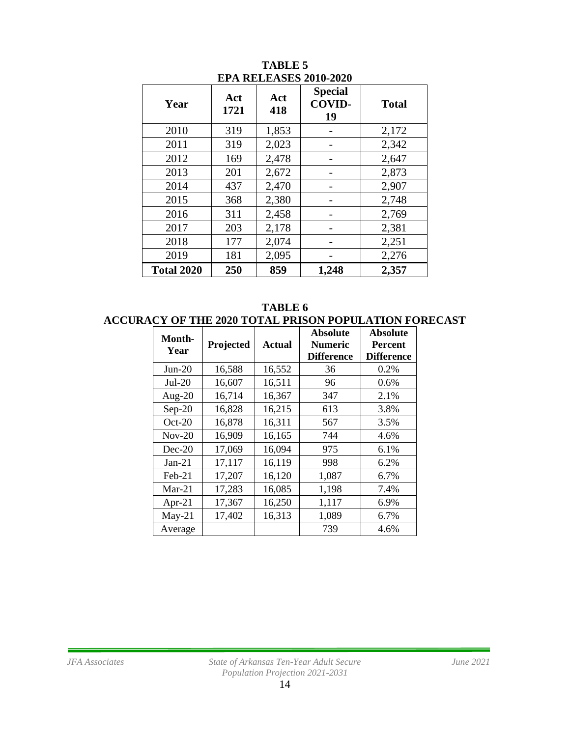| Year              | Act<br>1721 | Act<br>418 | <b>Special</b><br><b>COVID-</b><br>19 | <b>Total</b> |
|-------------------|-------------|------------|---------------------------------------|--------------|
| 2010              | 319         | 1,853      |                                       | 2,172        |
| 2011              | 319         | 2,023      |                                       | 2,342        |
| 2012              | 169         | 2,478      |                                       | 2,647        |
| 2013              | 201         | 2,672      |                                       | 2,873        |
| 2014              | 437         | 2,470      |                                       | 2,907        |
| 2015              | 368         | 2,380      |                                       | 2,748        |
| 2016              | 311         | 2,458      |                                       | 2,769        |
| 2017              | 203         | 2,178      |                                       | 2,381        |
| 2018              | 177         | 2,074      |                                       | 2,251        |
| 2019              | 181         | 2,095      |                                       | 2,276        |
| <b>Total 2020</b> | 250         | 859        | 1,248                                 | 2,357        |

**TABLE 5 EPA RELEASES 2010-2020**

**TABLE 6 ACCURACY OF THE 2020 TOTAL PRISON POPULATION FORECAST**

| Month-<br>Year | Projected | <b>Actual</b> | <b>Absolute</b><br><b>Numeric</b><br><b>Difference</b> | <b>Absolute</b><br>Percent<br><b>Difference</b> |
|----------------|-----------|---------------|--------------------------------------------------------|-------------------------------------------------|
| $Jun-20$       | 16,588    | 16,552        | 36                                                     | 0.2%                                            |
| $Jul-20$       | 16,607    | 16,511        | 96                                                     | $0.6\%$                                         |
| Aug- $20$      | 16,714    | 16,367        | 347                                                    | 2.1%                                            |
| $Sep-20$       | 16,828    | 16,215        | 613                                                    | 3.8%                                            |
| $Oct-20$       | 16,878    | 16,311        | 567                                                    | 3.5%                                            |
| $Nov-20$       | 16,909    | 16,165        | 744                                                    | 4.6%                                            |
| $Dec-20$       | 17,069    | 16,094        | 975                                                    | 6.1%                                            |
| $Jan-21$       | 17,117    | 16,119        | 998                                                    | 6.2%                                            |
| $Feb-21$       | 17,207    | 16,120        | 1,087                                                  | 6.7%                                            |
| $Mar-21$       | 17,283    | 16,085        | 1,198                                                  | 7.4%                                            |
| Apr-21         | 17,367    | 16,250        | 1,117                                                  | 6.9%                                            |
| $May-21$       | 17,402    | 16,313        | 1,089                                                  | 6.7%                                            |
| Average        |           |               | 739                                                    | 4.6%                                            |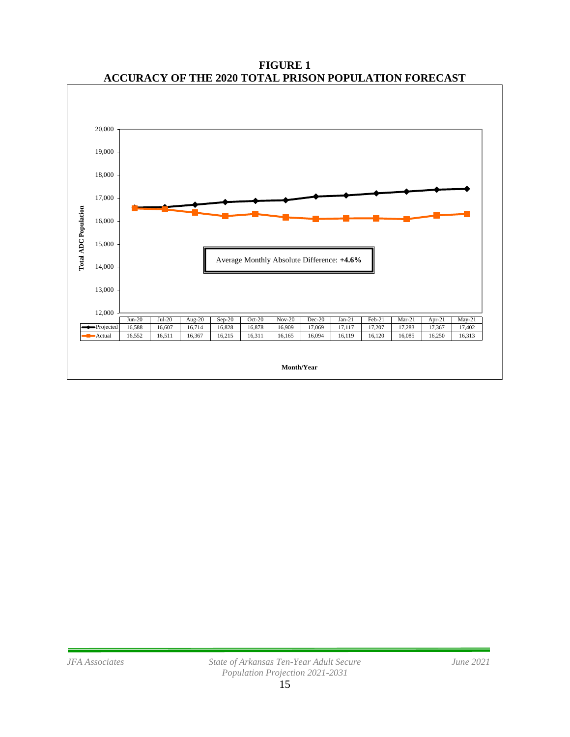

**FIGURE 1 ACCURACY OF THE 2020 TOTAL PRISON POPULATION FORECAST**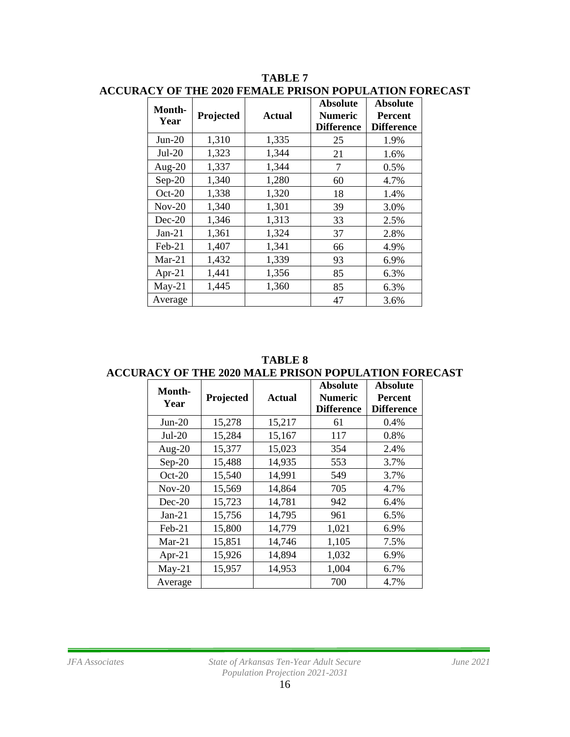| Month-<br>Year | Projected | <b>Actual</b> | <b>Absolute</b><br><b>Numeric</b><br><b>Difference</b> | <b>Absolute</b><br><b>Percent</b><br><b>Difference</b> |
|----------------|-----------|---------------|--------------------------------------------------------|--------------------------------------------------------|
| $Jun-20$       | 1,310     | 1,335         | 25                                                     | 1.9%                                                   |
| $Jul-20$       | 1,323     | 1,344         | 21                                                     | 1.6%                                                   |
| Aug- $20$      | 1,337     | 1,344         | 7                                                      | 0.5%                                                   |
| $Sep-20$       | 1,340     | 1,280         | 60                                                     | 4.7%                                                   |
| $Oct-20$       | 1,338     | 1,320         | 18                                                     | 1.4%                                                   |
| $Nov-20$       | 1,340     | 1,301         | 39                                                     | 3.0%                                                   |
| $Dec-20$       | 1,346     | 1,313         | 33                                                     | 2.5%                                                   |
| $Jan-21$       | 1,361     | 1,324         | 37                                                     | 2.8%                                                   |
| $Feb-21$       | 1,407     | 1,341         | 66                                                     | 4.9%                                                   |
| $Mar-21$       | 1,432     | 1,339         | 93                                                     | 6.9%                                                   |
| Apr-21         | 1,441     | 1,356         | 85                                                     | 6.3%                                                   |
| $May-21$       | 1,445     | 1,360         | 85                                                     | 6.3%                                                   |
| Average        |           |               | 47                                                     | 3.6%                                                   |

#### **TABLE 7 ACCURACY OF THE 2020 FEMALE PRISON POPULATION FORECAST**

**TABLE 8 ACCURACY OF THE 2020 MALE PRISON POPULATION FORECAST**

| <b>Month-</b> |           |        | <b>Absolute</b>   | <b>Absolute</b>   |
|---------------|-----------|--------|-------------------|-------------------|
| Year          | Projected | Actual | <b>Numeric</b>    | <b>Percent</b>    |
|               |           |        | <b>Difference</b> | <b>Difference</b> |
| $Jun-20$      | 15,278    | 15,217 | 61                | 0.4%              |
| $Jul-20$      | 15,284    | 15,167 | 117               | 0.8%              |
| Aug- $20$     | 15,377    | 15,023 | 354               | 2.4%              |
| $Sep-20$      | 15,488    | 14,935 | 553               | 3.7%              |
| $Oct-20$      | 15,540    | 14,991 | 549               | 3.7%              |
| $Nov-20$      | 15,569    | 14,864 | 705               | 4.7%              |
| $Dec-20$      | 15,723    | 14,781 | 942               | 6.4%              |
| $Jan-21$      | 15,756    | 14,795 | 961               | 6.5%              |
| Feb-21        | 15,800    | 14,779 | 1,021             | 6.9%              |
| $Mar-21$      | 15,851    | 14,746 | 1,105             | 7.5%              |
| Apr-21        | 15,926    | 14,894 | 1,032             | 6.9%              |
| $May-21$      | 15,957    | 14,953 | 1,004             | 6.7%              |
| Average       |           |        | 700               | 4.7%              |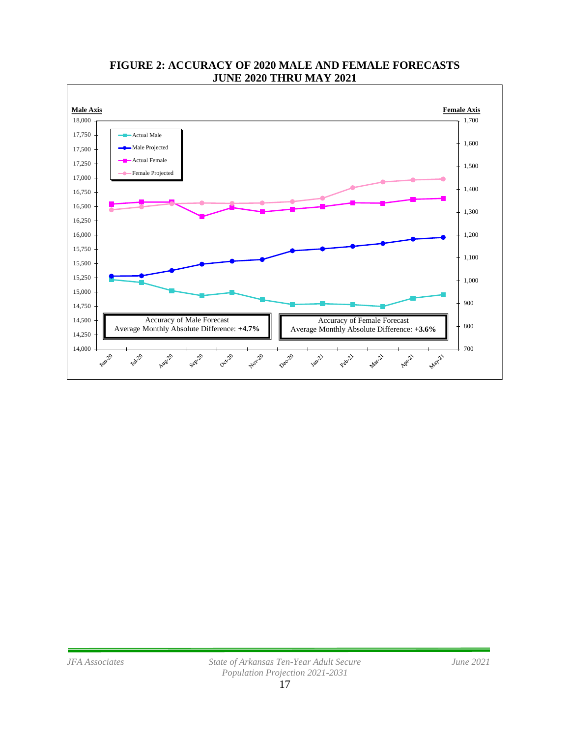

### **FIGURE 2: ACCURACY OF 2020 MALE AND FEMALE FORECASTS JUNE 2020 THRU MAY 2021**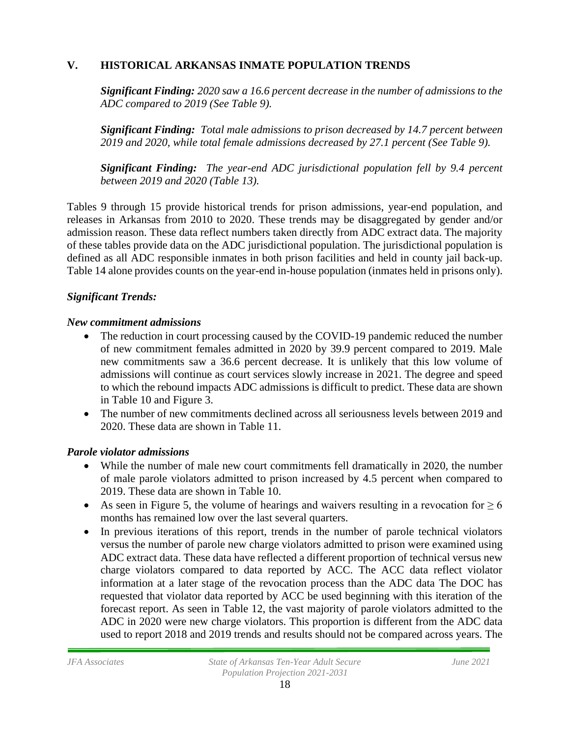### **V. HISTORICAL ARKANSAS INMATE POPULATION TRENDS**

*Significant Finding: 2020 saw a 16.6 percent decrease in the number of admissions to the ADC compared to 2019 (See Table 9).* 

*Significant Finding: Total male admissions to prison decreased by 14.7 percent between 2019 and 2020, while total female admissions decreased by 27.1 percent (See Table 9).*

*Significant Finding: The year-end ADC jurisdictional population fell by 9.4 percent between 2019 and 2020 (Table 13).*

Tables 9 through 15 provide historical trends for prison admissions, year-end population, and releases in Arkansas from 2010 to 2020. These trends may be disaggregated by gender and/or admission reason. These data reflect numbers taken directly from ADC extract data. The majority of these tables provide data on the ADC jurisdictional population. The jurisdictional population is defined as all ADC responsible inmates in both prison facilities and held in county jail back-up. Table 14 alone provides counts on the year-end in-house population (inmates held in prisons only).

### *Significant Trends:*

#### *New commitment admissions*

- The reduction in court processing caused by the COVID-19 pandemic reduced the number of new commitment females admitted in 2020 by 39.9 percent compared to 2019. Male new commitments saw a 36.6 percent decrease. It is unlikely that this low volume of admissions will continue as court services slowly increase in 2021. The degree and speed to which the rebound impacts ADC admissions is difficult to predict. These data are shown in Table 10 and Figure 3.
- The number of new commitments declined across all seriousness levels between 2019 and 2020. These data are shown in Table 11.

### *Parole violator admissions*

- While the number of male new court commitments fell dramatically in 2020, the number of male parole violators admitted to prison increased by 4.5 percent when compared to 2019. These data are shown in Table 10.
- As seen in Figure 5, the volume of hearings and waivers resulting in a revocation for  $\geq 6$ months has remained low over the last several quarters.
- In previous iterations of this report, trends in the number of parole technical violators versus the number of parole new charge violators admitted to prison were examined using ADC extract data. These data have reflected a different proportion of technical versus new charge violators compared to data reported by ACC. The ACC data reflect violator information at a later stage of the revocation process than the ADC data The DOC has requested that violator data reported by ACC be used beginning with this iteration of the forecast report. As seen in Table 12, the vast majority of parole violators admitted to the ADC in 2020 were new charge violators. This proportion is different from the ADC data used to report 2018 and 2019 trends and results should not be compared across years. The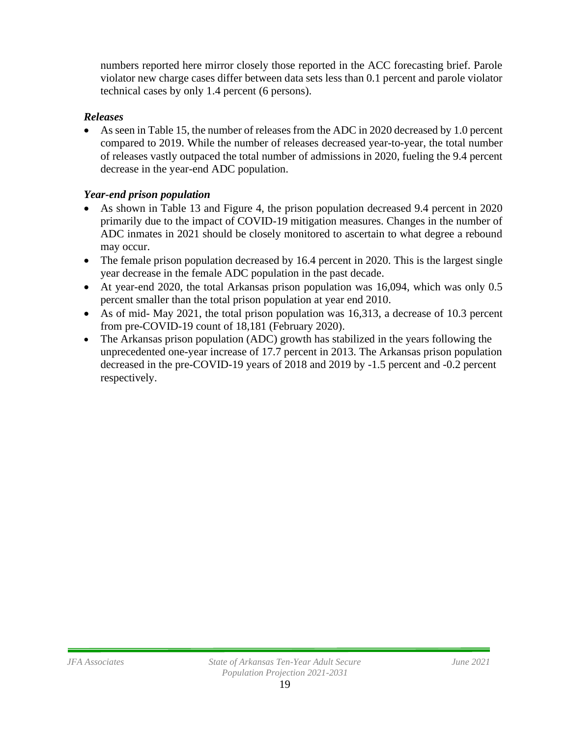numbers reported here mirror closely those reported in the ACC forecasting brief. Parole violator new charge cases differ between data sets less than 0.1 percent and parole violator technical cases by only 1.4 percent (6 persons).

### *Releases*

• As seen in Table 15, the number of releases from the ADC in 2020 decreased by 1.0 percent compared to 2019. While the number of releases decreased year-to-year, the total number of releases vastly outpaced the total number of admissions in 2020, fueling the 9.4 percent decrease in the year-end ADC population.

## *Year-end prison population*

- As shown in Table 13 and Figure 4, the prison population decreased 9.4 percent in 2020 primarily due to the impact of COVID-19 mitigation measures. Changes in the number of ADC inmates in 2021 should be closely monitored to ascertain to what degree a rebound may occur.
- The female prison population decreased by 16.4 percent in 2020. This is the largest single year decrease in the female ADC population in the past decade.
- At year-end 2020, the total Arkansas prison population was 16,094, which was only 0.5 percent smaller than the total prison population at year end 2010.
- As of mid- May 2021, the total prison population was 16,313, a decrease of 10.3 percent from pre-COVID-19 count of 18,181 (February 2020).
- The Arkansas prison population (ADC) growth has stabilized in the years following the unprecedented one-year increase of 17.7 percent in 2013. The Arkansas prison population decreased in the pre-COVID-19 years of 2018 and 2019 by -1.5 percent and -0.2 percent respectively.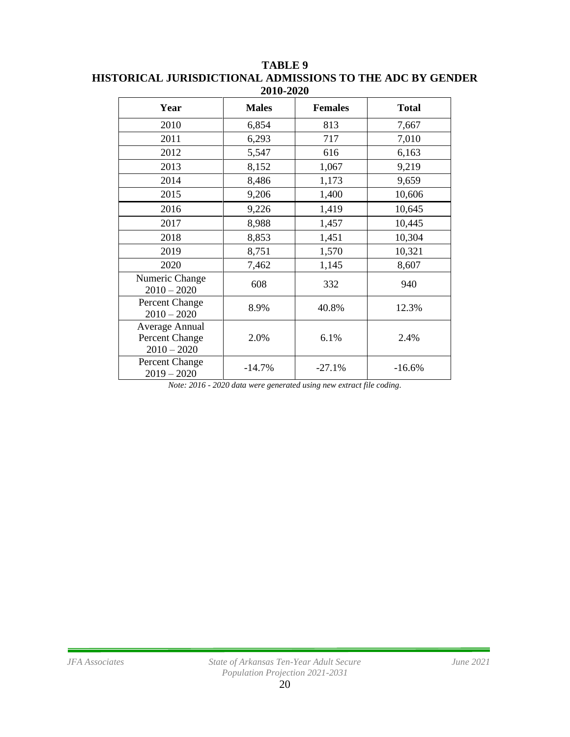| Year                                              | <b>Males</b> | <b>Females</b> | <b>Total</b> |
|---------------------------------------------------|--------------|----------------|--------------|
| 2010                                              | 6,854        | 813            | 7,667        |
| 2011                                              | 6,293        | 717            | 7,010        |
| 2012                                              | 5,547        | 616            | 6,163        |
| 2013                                              | 8,152        | 1,067          | 9,219        |
| 2014                                              | 8,486        | 1,173          | 9,659        |
| 2015                                              | 9,206        | 1,400          | 10,606       |
| 2016                                              | 9,226        | 1,419          | 10,645       |
| 2017                                              | 8,988        | 1,457          | 10,445       |
| 2018                                              | 8,853        | 1,451          | 10,304       |
| 2019                                              | 8,751        | 1,570          | 10,321       |
| 2020                                              | 7,462        | 1,145          | 8,607        |
| Numeric Change<br>$2010 - 2020$                   | 608          | 332            | 940          |
| Percent Change<br>$2010 - 2020$                   | 8.9%         | 40.8%          | 12.3%        |
| Average Annual<br>Percent Change<br>$2010 - 2020$ | 2.0%         | 6.1%           | 2.4%         |
| Percent Change<br>$2019 - 2020$                   | $-14.7%$     | $-27.1%$       | $-16.6%$     |

**TABLE 9 HISTORICAL JURISDICTIONAL ADMISSIONS TO THE ADC BY GENDER 2010-2020**

*Note: 2016 - 2020 data were generated using new extract file coding.*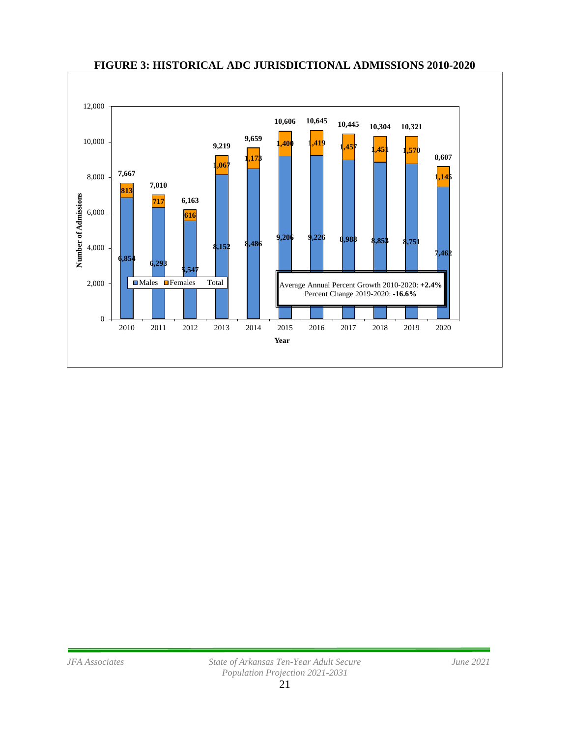

#### **FIGURE 3: HISTORICAL ADC JURISDICTIONAL ADMISSIONS 2010-2020**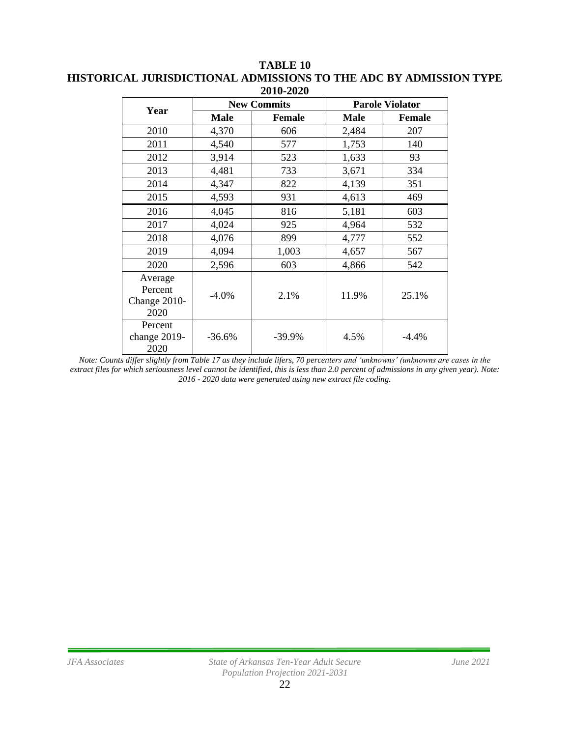| 2010-2020                                  |             |                    |                        |         |  |
|--------------------------------------------|-------------|--------------------|------------------------|---------|--|
| Year                                       |             | <b>New Commits</b> | <b>Parole Violator</b> |         |  |
|                                            | <b>Male</b> | <b>Female</b>      | Male                   | Female  |  |
| 2010                                       | 4,370       | 606                | 2,484                  | 207     |  |
| 2011                                       | 4,540       | 577                | 1,753                  | 140     |  |
| 2012                                       | 3,914       | 523                | 1,633                  | 93      |  |
| 2013                                       | 4,481       | 733                | 3,671                  | 334     |  |
| 2014                                       | 4,347       | 822                | 4,139                  | 351     |  |
| 2015                                       | 4,593       | 931                | 4,613                  | 469     |  |
| 2016                                       | 4,045       | 816                | 5,181                  | 603     |  |
| 2017                                       | 4,024       | 925                | 4,964                  | 532     |  |
| 2018                                       | 4,076       | 899                | 4,777                  | 552     |  |
| 2019                                       | 4,094       | 1,003              | 4,657                  | 567     |  |
| 2020                                       | 2,596       | 603                | 4,866                  | 542     |  |
| Average<br>Percent<br>Change 2010-<br>2020 | $-4.0\%$    | 2.1%               | 11.9%                  | 25.1%   |  |
| Percent<br>change 2019-<br>2020            | $-36.6%$    | $-39.9%$           | 4.5%                   | $-4.4%$ |  |

#### **TABLE 10 HISTORICAL JURISDICTIONAL ADMISSIONS TO THE ADC BY ADMISSION TYPE 2010-2020**

*Note: Counts differ slightly from Table 17 as they include lifers, 70 percenters and 'unknowns' (unknowns are cases in the extract files for which seriousness level cannot be identified, this is less than 2.0 percent of admissions in any given year). Note: 2016 - 2020 data were generated using new extract file coding.*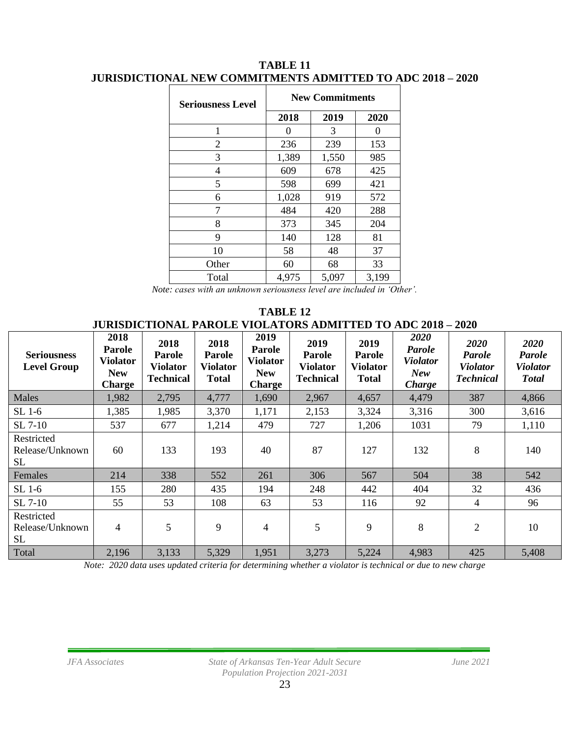| <b>Seriousness Level</b> | <b>New Commitments</b> |       |          |  |  |
|--------------------------|------------------------|-------|----------|--|--|
|                          | 2018                   | 2019  | 2020     |  |  |
| 1                        | 0                      | 3     | $\Omega$ |  |  |
| 2                        | 236                    | 239   | 153      |  |  |
| 3                        | 1,389                  | 1,550 | 985      |  |  |
| 4                        | 609                    | 678   | 425      |  |  |
| 5                        | 598                    | 699   | 421      |  |  |
| 6                        | 1,028                  | 919   | 572      |  |  |
| 7                        | 484                    | 420   | 288      |  |  |
| 8                        | 373                    | 345   | 204      |  |  |
| 9                        | 140                    | 128   | 81       |  |  |
| 10                       | 58                     | 48    | 37       |  |  |
| Other                    | 60                     | 68    | 33       |  |  |
| Total                    | 4,975                  | 5,097 | 3,199    |  |  |

#### **TABLE 11 JURISDICTIONAL NEW COMMITMENTS ADMITTED TO ADC 2018 – 2020**

*Note: cases with an unknown seriousness level are included in 'Other'.*

**TABLE 12 JURISDICTIONAL PAROLE VIOLATORS ADMITTED TO ADC 2018 – 2020**

| <b>Seriousness</b><br><b>Level Group</b>   | 2018<br><b>Parole</b><br><b>Violator</b><br><b>New</b><br><b>Charge</b> | 2018<br>Parole<br><b>Violator</b><br><b>Technical</b> | 2018<br><b>Parole</b><br><b>Violator</b><br><b>Total</b> | 2019<br><b>Parole</b><br><b>Violator</b><br><b>New</b><br><b>Charge</b> | 2019<br>Parole<br><b>Violator</b><br><b>Technical</b> | 2019<br><b>Parole</b><br><b>Violator</b><br><b>Total</b> | 2020<br><b>Parole</b><br><b>Violator</b><br><b>New</b><br>Charge | 2020<br>Parole<br><b>Violator</b><br><b>Technical</b> | 2020<br>Parole<br><b>Violator</b><br><b>Total</b> |
|--------------------------------------------|-------------------------------------------------------------------------|-------------------------------------------------------|----------------------------------------------------------|-------------------------------------------------------------------------|-------------------------------------------------------|----------------------------------------------------------|------------------------------------------------------------------|-------------------------------------------------------|---------------------------------------------------|
| Males                                      | 1,982                                                                   | 2,795                                                 | 4,777                                                    | 1,690                                                                   | 2,967                                                 | 4,657                                                    | 4,479                                                            | 387                                                   | 4,866                                             |
| $SL$ 1-6                                   | 1,385                                                                   | 1,985                                                 | 3,370                                                    | 1,171                                                                   | 2,153                                                 | 3,324                                                    | 3,316                                                            | 300                                                   | 3,616                                             |
| SL 7-10                                    | 537                                                                     | 677                                                   | 1,214                                                    | 479                                                                     | 727                                                   | 1,206                                                    | 1031                                                             | 79                                                    | 1,110                                             |
| Restricted<br>Release/Unknown<br>SL        | 60                                                                      | 133                                                   | 193                                                      | 40                                                                      | 87                                                    | 127                                                      | 132                                                              | 8                                                     | 140                                               |
| Females                                    | 214                                                                     | 338                                                   | 552                                                      | 261                                                                     | 306                                                   | 567                                                      | 504                                                              | 38                                                    | 542                                               |
| $SL$ 1-6                                   | 155                                                                     | 280                                                   | 435                                                      | 194                                                                     | 248                                                   | 442                                                      | 404                                                              | 32                                                    | 436                                               |
| SL 7-10                                    | 55                                                                      | 53                                                    | 108                                                      | 63                                                                      | 53                                                    | 116                                                      | 92                                                               | 4                                                     | 96                                                |
| Restricted<br>Release/Unknown<br><b>SL</b> | 4                                                                       | 5                                                     | 9                                                        | $\overline{4}$                                                          | 5                                                     | 9                                                        | 8                                                                | $\overline{2}$                                        | 10                                                |
| Total                                      | 2,196                                                                   | 3,133                                                 | 5,329                                                    | 1,951                                                                   | 3,273                                                 | 5,224                                                    | 4,983                                                            | 425                                                   | 5,408                                             |

*Note: 2020 data uses updated criteria for determining whether a violator is technical or due to new charge*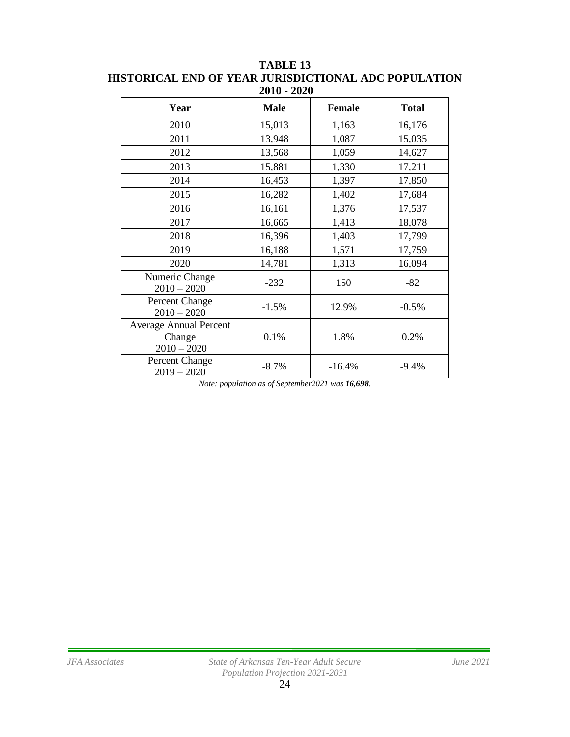| Year                                                     | <b>Male</b> | <b>Female</b> | <b>Total</b> |
|----------------------------------------------------------|-------------|---------------|--------------|
| 2010                                                     | 15,013      | 1,163         | 16,176       |
| 2011                                                     | 13,948      | 1,087         | 15,035       |
| 2012                                                     | 13,568      | 1,059         | 14,627       |
| 2013                                                     | 15,881      | 1,330         | 17,211       |
| 2014                                                     | 16,453      | 1,397         | 17,850       |
| 2015                                                     | 16,282      | 1,402         | 17,684       |
| 2016                                                     | 16,161      | 1,376         | 17,537       |
| 2017                                                     | 16,665      | 1,413         | 18,078       |
| 2018                                                     | 16,396      | 1,403         | 17,799       |
| 2019                                                     | 16,188      | 1,571         | 17,759       |
| 2020                                                     | 14,781      | 1,313         | 16,094       |
| Numeric Change<br>$2010 - 2020$                          | $-232$      | 150           | $-82$        |
| Percent Change<br>$2010 - 2020$                          | $-1.5%$     | 12.9%         | $-0.5%$      |
| <b>Average Annual Percent</b><br>Change<br>$2010 - 2020$ | 0.1%        | 1.8%          | 0.2%         |
| Percent Change<br>$2019 - 2020$                          | $-8.7\%$    | $-16.4%$      | $-9.4%$      |

**TABLE 13 HISTORICAL END OF YEAR JURISDICTIONAL ADC POPULATION 2010 - 2020**

*Note: population as of September2021 was 16,698.*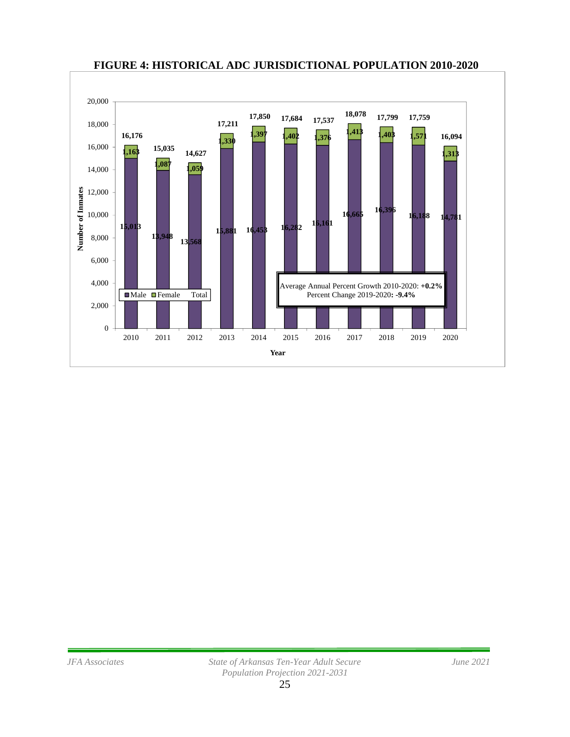

#### **FIGURE 4: HISTORICAL ADC JURISDICTIONAL POPULATION 2010-2020**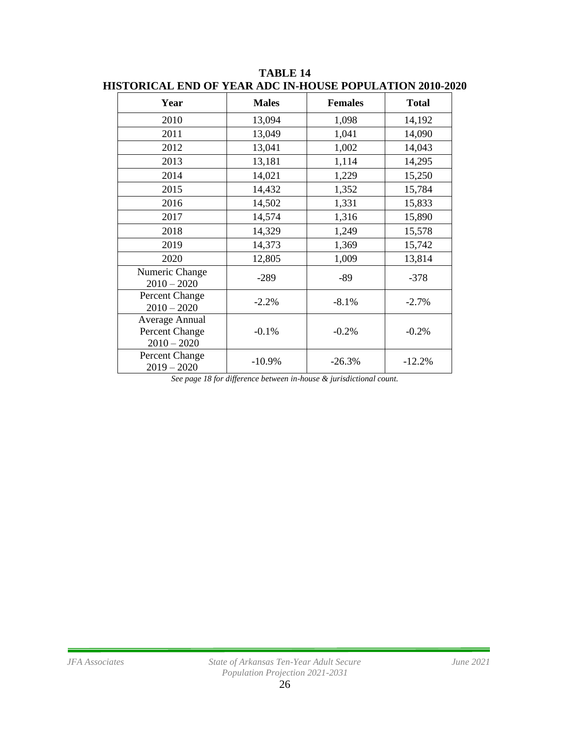| Year                                              | <b>Males</b> | <b>Females</b> | <b>Total</b> |
|---------------------------------------------------|--------------|----------------|--------------|
| 2010                                              | 13,094       | 1,098          | 14,192       |
| 2011                                              | 13,049       | 1,041          | 14,090       |
| 2012                                              | 13,041       | 1,002          | 14,043       |
| 2013                                              | 13,181       | 1,114          | 14,295       |
| 2014                                              | 14,021       | 1,229          | 15,250       |
| 2015                                              | 14,432       | 1,352          | 15,784       |
| 2016                                              | 14,502       | 1,331          | 15,833       |
| 2017                                              | 14,574       | 1,316          | 15,890       |
| 2018                                              | 14,329       | 1,249          | 15,578       |
| 2019                                              | 14,373       | 1,369          | 15,742       |
| 2020                                              | 12,805       | 1,009          | 13,814       |
| Numeric Change<br>$2010 - 2020$                   | $-289$       | $-89$          | $-378$       |
| Percent Change<br>$2010 - 2020$                   | $-2.2%$      | $-8.1%$        | $-2.7%$      |
| Average Annual<br>Percent Change<br>$2010 - 2020$ | $-0.1%$      | $-0.2%$        | $-0.2%$      |
| Percent Change<br>$2019 - 2020$                   | $-10.9%$     | $-26.3%$       | $-12.2%$     |

**TABLE 14 HISTORICAL END OF YEAR ADC IN-HOUSE POPULATION 2010-2020**

*See page 18 for difference between in-house & jurisdictional count.*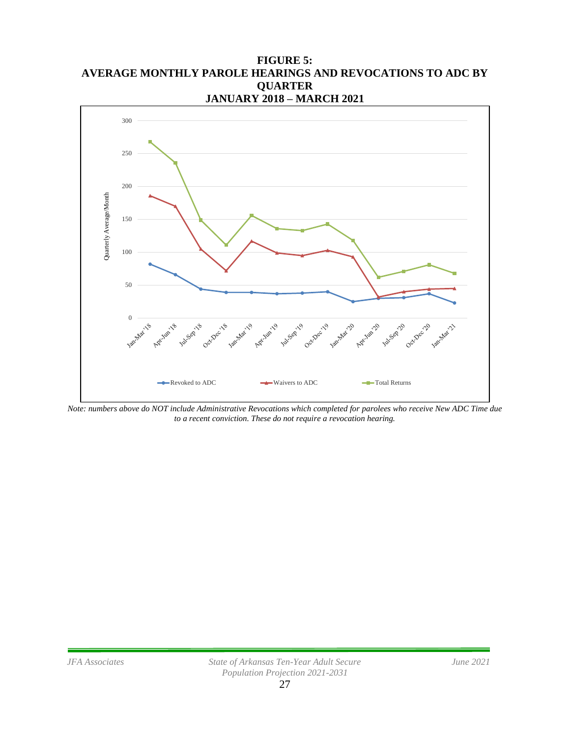**FIGURE 5: AVERAGE MONTHLY PAROLE HEARINGS AND REVOCATIONS TO ADC BY QUARTER JANUARY 2018 – MARCH 2021**



*Note: numbers above do NOT include Administrative Revocations which completed for parolees who receive New ADC Time due to a recent conviction. These do not require a revocation hearing.*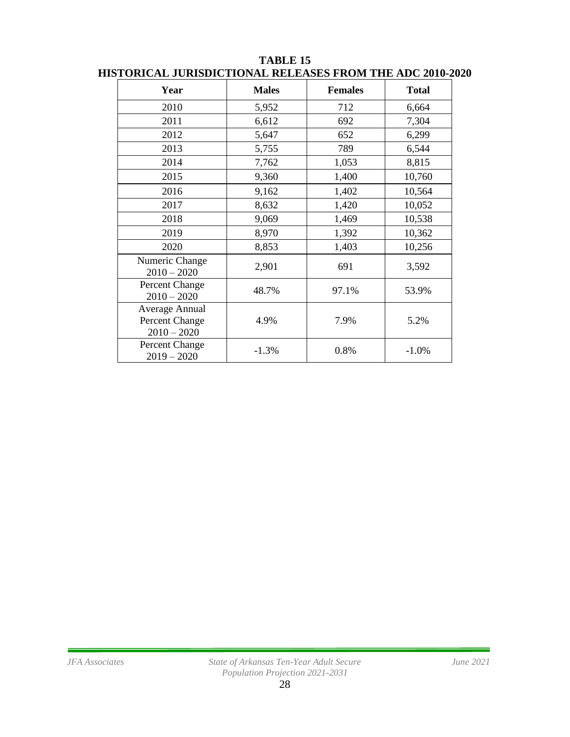| Year                                              | <b>Males</b> | <b>Females</b> | <b>Total</b> |
|---------------------------------------------------|--------------|----------------|--------------|
| 2010                                              | 5,952        | 712            | 6,664        |
| 2011                                              | 6,612        | 692            | 7,304        |
| 2012                                              | 5,647        | 652            | 6,299        |
| 2013                                              | 5,755        | 789            | 6,544        |
| 2014                                              | 7,762        | 1,053          | 8,815        |
| 2015                                              | 9,360        | 1,400          | 10,760       |
| 2016                                              | 9,162        | 1,402          | 10,564       |
| 2017                                              | 8,632        | 1,420          | 10,052       |
| 2018                                              | 9,069        | 1,469          | 10,538       |
| 2019                                              | 8,970        | 1,392          | 10,362       |
| 2020                                              | 8,853        | 1,403          | 10,256       |
| Numeric Change<br>$2010 - 2020$                   | 2,901        | 691            | 3,592        |
| Percent Change<br>$2010 - 2020$                   | 48.7%        | 97.1%          | 53.9%        |
| Average Annual<br>Percent Change<br>$2010 - 2020$ | 4.9%         | 7.9%           | 5.2%         |
| Percent Change<br>$2019 - 2020$                   | $-1.3%$      | 0.8%           | $-1.0%$      |

#### **TABLE 15 HISTORICAL JURISDICTIONAL RELEASES FROM THE ADC 2010-2020**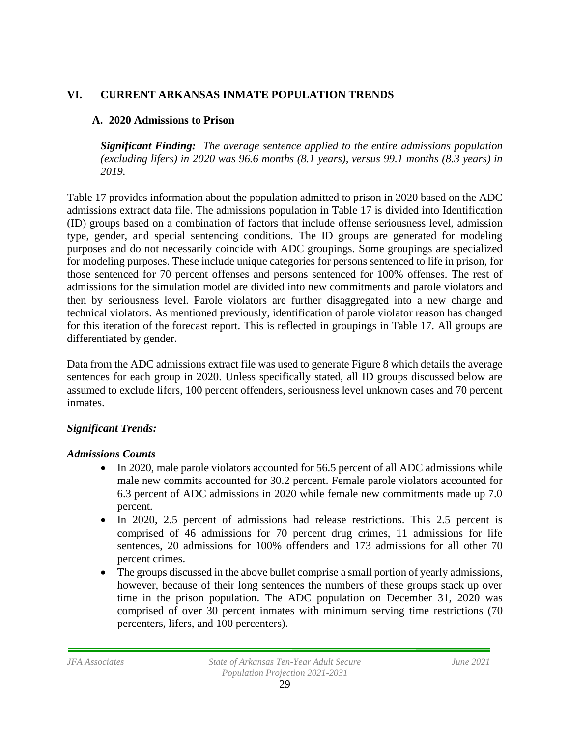### **VI. CURRENT ARKANSAS INMATE POPULATION TRENDS**

### **A. 2020 Admissions to Prison**

*Significant Finding: The average sentence applied to the entire admissions population (excluding lifers) in 2020 was 96.6 months (8.1 years), versus 99.1 months (8.3 years) in 2019.*

Table 17 provides information about the population admitted to prison in 2020 based on the ADC admissions extract data file. The admissions population in Table 17 is divided into Identification (ID) groups based on a combination of factors that include offense seriousness level, admission type, gender, and special sentencing conditions. The ID groups are generated for modeling purposes and do not necessarily coincide with ADC groupings. Some groupings are specialized for modeling purposes. These include unique categories for persons sentenced to life in prison, for those sentenced for 70 percent offenses and persons sentenced for 100% offenses. The rest of admissions for the simulation model are divided into new commitments and parole violators and then by seriousness level. Parole violators are further disaggregated into a new charge and technical violators. As mentioned previously, identification of parole violator reason has changed for this iteration of the forecast report. This is reflected in groupings in Table 17. All groups are differentiated by gender.

Data from the ADC admissions extract file was used to generate Figure 8 which details the average sentences for each group in 2020. Unless specifically stated, all ID groups discussed below are assumed to exclude lifers, 100 percent offenders, seriousness level unknown cases and 70 percent inmates.

### *Significant Trends:*

### *Admissions Counts*

- In 2020, male parole violators accounted for 56.5 percent of all ADC admissions while male new commits accounted for 30.2 percent. Female parole violators accounted for 6.3 percent of ADC admissions in 2020 while female new commitments made up 7.0 percent.
- In 2020, 2.5 percent of admissions had release restrictions. This 2.5 percent is comprised of 46 admissions for 70 percent drug crimes, 11 admissions for life sentences, 20 admissions for 100% offenders and 173 admissions for all other 70 percent crimes.
- The groups discussed in the above bullet comprise a small portion of yearly admissions, however, because of their long sentences the numbers of these groups stack up over time in the prison population. The ADC population on December 31, 2020 was comprised of over 30 percent inmates with minimum serving time restrictions (70 percenters, lifers, and 100 percenters).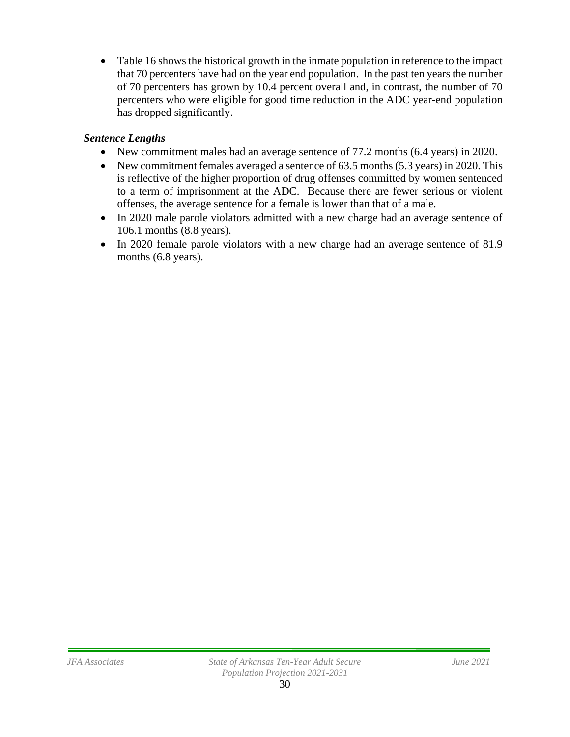• Table 16 shows the historical growth in the inmate population in reference to the impact that 70 percenters have had on the year end population. In the past ten years the number of 70 percenters has grown by 10.4 percent overall and, in contrast, the number of 70 percenters who were eligible for good time reduction in the ADC year-end population has dropped significantly.

## *Sentence Lengths*

- New commitment males had an average sentence of 77.2 months (6.4 years) in 2020.
- New commitment females averaged a sentence of 63.5 months (5.3 years) in 2020. This is reflective of the higher proportion of drug offenses committed by women sentenced to a term of imprisonment at the ADC. Because there are fewer serious or violent offenses, the average sentence for a female is lower than that of a male.
- In 2020 male parole violators admitted with a new charge had an average sentence of 106.1 months (8.8 years).
- In 2020 female parole violators with a new charge had an average sentence of 81.9 months (6.8 years).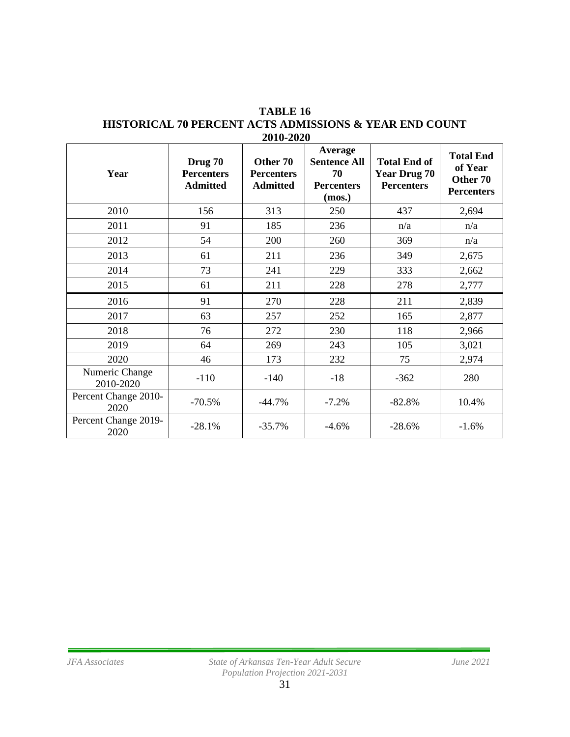|                              |                                                 |                                                  | Average                                                  |                                                                 |                                                              |
|------------------------------|-------------------------------------------------|--------------------------------------------------|----------------------------------------------------------|-----------------------------------------------------------------|--------------------------------------------------------------|
| Year                         | Drug 70<br><b>Percenters</b><br><b>Admitted</b> | Other 70<br><b>Percenters</b><br><b>Admitted</b> | <b>Sentence All</b><br>70<br><b>Percenters</b><br>(mos.) | <b>Total End of</b><br><b>Year Drug 70</b><br><b>Percenters</b> | <b>Total End</b><br>of Year<br>Other 70<br><b>Percenters</b> |
| 2010                         | 156                                             | 313                                              | 250                                                      | 437                                                             | 2,694                                                        |
| 2011                         | 91                                              | 185                                              | 236                                                      | n/a                                                             | n/a                                                          |
| 2012                         | 54                                              | 200                                              | 260                                                      | 369                                                             | n/a                                                          |
| 2013                         | 61                                              | 211                                              | 236                                                      | 349                                                             | 2,675                                                        |
| 2014                         | 73                                              | 241                                              | 229                                                      | 333                                                             | 2,662                                                        |
| 2015                         | 61                                              | 211                                              | 228                                                      | 278                                                             | 2,777                                                        |
| 2016                         | 91                                              | 270                                              | 228                                                      | 211                                                             | 2,839                                                        |
| 2017                         | 63                                              | 257                                              | 252                                                      | 165                                                             | 2,877                                                        |
| 2018                         | 76                                              | 272                                              | 230                                                      | 118                                                             | 2,966                                                        |
| 2019                         | 64                                              | 269                                              | 243                                                      | 105                                                             | 3,021                                                        |
| 2020                         | 46                                              | 173                                              | 232                                                      | 75                                                              | 2,974                                                        |
| Numeric Change<br>2010-2020  | $-110$                                          | $-140$                                           | $-18$                                                    | $-362$                                                          | 280                                                          |
| Percent Change 2010-<br>2020 | $-70.5%$                                        | $-44.7%$                                         | $-7.2%$                                                  | $-82.8%$                                                        | 10.4%                                                        |
| Percent Change 2019-<br>2020 | $-28.1%$                                        | $-35.7%$                                         | $-4.6%$                                                  | $-28.6%$                                                        | $-1.6%$                                                      |

#### **TABLE 16 HISTORICAL 70 PERCENT ACTS ADMISSIONS & YEAR END COUNT 2010-2020**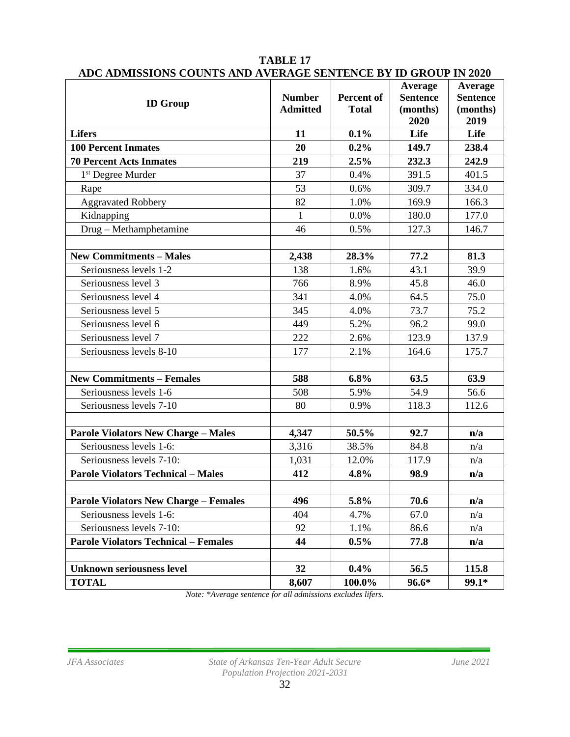| <b>ID Group</b>                              | <b>Number</b><br><b>Admitted</b> | <b>Percent of</b><br><b>Total</b> | Average<br><b>Sentence</b><br>(months)<br>2020 | Average<br><b>Sentence</b><br>(months)<br>2019 |
|----------------------------------------------|----------------------------------|-----------------------------------|------------------------------------------------|------------------------------------------------|
| <b>Lifers</b>                                | 11                               | 0.1%                              | Life                                           | Life                                           |
| <b>100 Percent Inmates</b>                   | 20                               | $0.2\%$                           | 149.7                                          | 238.4                                          |
| <b>70 Percent Acts Inmates</b>               | 219                              | 2.5%                              | 232.3                                          | 242.9                                          |
| 1 <sup>st</sup> Degree Murder                | 37                               | 0.4%                              | 391.5                                          | 401.5                                          |
| Rape                                         | 53                               | 0.6%                              | 309.7                                          | 334.0                                          |
| <b>Aggravated Robbery</b>                    | 82                               | 1.0%                              | 169.9                                          | 166.3                                          |
| Kidnapping                                   | $\mathbf{1}$                     | 0.0%                              | 180.0                                          | 177.0                                          |
| Drug - Methamphetamine                       | 46                               | 0.5%                              | 127.3                                          | 146.7                                          |
|                                              |                                  |                                   |                                                |                                                |
| <b>New Commitments - Males</b>               | 2,438                            | 28.3%                             | 77.2                                           | 81.3                                           |
| Seriousness levels 1-2                       | 138                              | 1.6%                              | 43.1                                           | 39.9                                           |
| Seriousness level 3                          | 766                              | 8.9%                              | 45.8                                           | 46.0                                           |
| Seriousness level 4                          | 341                              | 4.0%                              | 64.5                                           | 75.0                                           |
| Seriousness level 5                          | 345                              | 4.0%                              | 73.7                                           | 75.2                                           |
| Seriousness level 6                          | 449                              | 5.2%                              | 96.2                                           | 99.0                                           |
| Seriousness level 7                          | 222                              | 2.6%                              | 123.9                                          | 137.9                                          |
| Seriousness levels 8-10                      | 177                              | 2.1%                              | 164.6                                          | 175.7                                          |
|                                              |                                  |                                   |                                                |                                                |
| <b>New Commitments - Females</b>             | 588                              | 6.8%                              | 63.5                                           | 63.9                                           |
| Seriousness levels 1-6                       | 508                              | 5.9%                              | 54.9                                           | 56.6                                           |
| Seriousness levels 7-10                      | 80                               | 0.9%                              | 118.3                                          | 112.6                                          |
|                                              |                                  |                                   |                                                |                                                |
| <b>Parole Violators New Charge - Males</b>   | 4,347                            | 50.5%                             | 92.7                                           | n/a                                            |
| Seriousness levels 1-6:                      | 3,316                            | 38.5%                             | 84.8                                           | n/a                                            |
| Seriousness levels 7-10:                     | 1,031                            | 12.0%                             | 117.9                                          | n/a                                            |
| <b>Parole Violators Technical - Males</b>    | 412                              | 4.8%                              | 98.9                                           | n/a                                            |
|                                              |                                  |                                   |                                                |                                                |
| <b>Parole Violators New Charge - Females</b> | 496                              | 5.8%                              | 70.6                                           | n/a                                            |
| Seriousness levels 1-6:                      | 404                              | 4.7%                              | 67.0                                           | n/a                                            |
| Seriousness levels 7-10:                     | 92                               | 1.1%                              | 86.6                                           | n/a                                            |
| <b>Parole Violators Technical - Females</b>  | 44                               | $0.5\%$                           | 77.8                                           | n/a                                            |
|                                              |                                  |                                   |                                                |                                                |
| <b>Unknown seriousness level</b>             | 32                               | 0.4%                              | 56.5                                           | 115.8                                          |
| <b>TOTAL</b>                                 | 8,607                            | 100.0%                            | $96.6*$                                        | 99.1*                                          |

#### **TABLE 17 ADC ADMISSIONS COUNTS AND AVERAGE SENTENCE BY ID GROUP IN 2020**

*Note: \*Average sentence for all admissions excludes lifers.*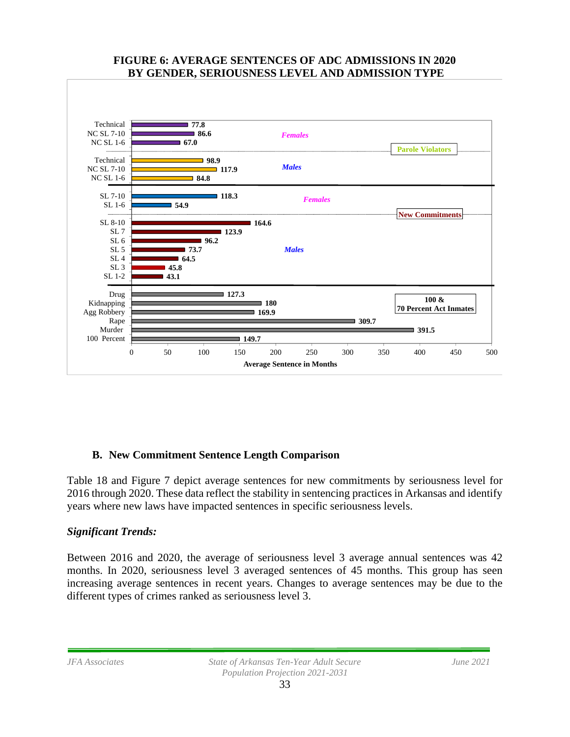#### **FIGURE 6: AVERAGE SENTENCES OF ADC ADMISSIONS IN 2020 BY GENDER, SERIOUSNESS LEVEL AND ADMISSION TYPE**



### **B. New Commitment Sentence Length Comparison**

Table 18 and Figure 7 depict average sentences for new commitments by seriousness level for 2016 through 2020. These data reflect the stability in sentencing practices in Arkansas and identify years where new laws have impacted sentences in specific seriousness levels.

### *Significant Trends:*

Between 2016 and 2020, the average of seriousness level 3 average annual sentences was 42 months. In 2020, seriousness level 3 averaged sentences of 45 months. This group has seen increasing average sentences in recent years. Changes to average sentences may be due to the different types of crimes ranked as seriousness level 3.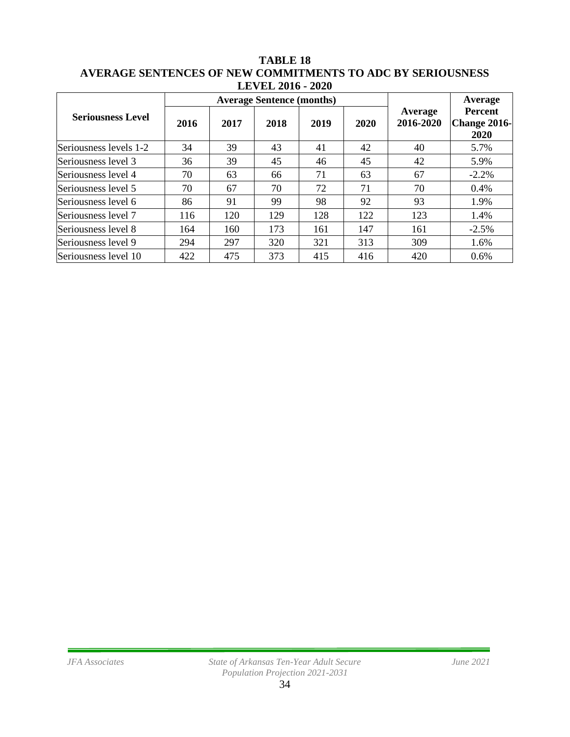|                          |      |                                  | LEVEL 2010 - 2020 |      |      |                      |                                        |  |
|--------------------------|------|----------------------------------|-------------------|------|------|----------------------|----------------------------------------|--|
|                          |      | <b>Average Sentence (months)</b> |                   |      |      |                      | Average                                |  |
| <b>Seriousness Level</b> | 2016 | 2017                             | 2018              | 2019 | 2020 | Average<br>2016-2020 | <b>Percent</b><br>Change 2016-<br>2020 |  |
| Seriousness levels 1-2   | 34   | 39                               | 43                | 41   | 42   | 40                   | 5.7%                                   |  |
| Seriousness level 3      | 36   | 39                               | 45                | 46   | 45   | 42                   | 5.9%                                   |  |
| Seriousness level 4      | 70   | 63                               | 66                | 71   | 63   | 67                   | $-2.2%$                                |  |
| Seriousness level 5      | 70   | 67                               | 70                | 72   | 71   | 70                   | $0.4\%$                                |  |
| Seriousness level 6      | 86   | 91                               | 99                | 98   | 92   | 93                   | 1.9%                                   |  |
| Seriousness level 7      | 116  | 120                              | 129               | 128  | 122  | 123                  | 1.4%                                   |  |
| Seriousness level 8      | 164  | 160                              | 173               | 161  | 147  | 161                  | $-2.5%$                                |  |
| Seriousness level 9      | 294  | 297                              | 320               | 321  | 313  | 309                  | 1.6%                                   |  |
| Seriousness level 10     | 422  | 475                              | 373               | 415  | 416  | 420                  | 0.6%                                   |  |

#### **TABLE 18 AVERAGE SENTENCES OF NEW COMMITMENTS TO ADC BY SERIOUSNESS LEVEL 2016 - 2020**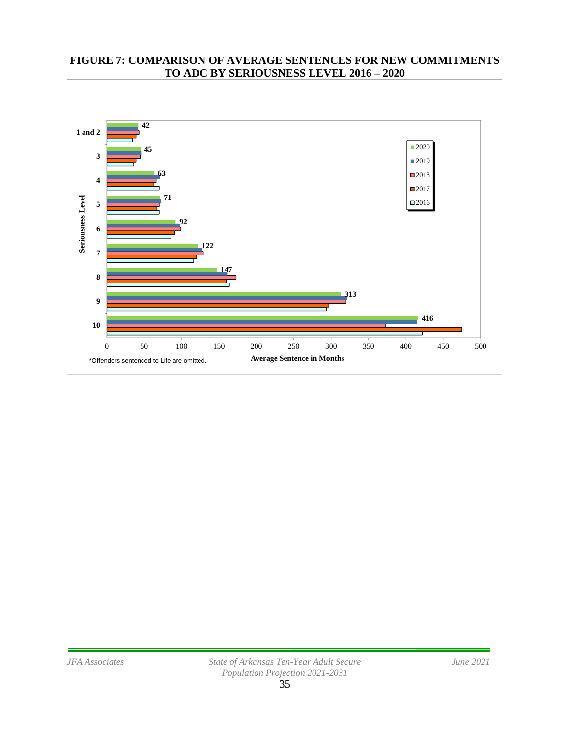

#### **FIGURE 7: COMPARISON OF AVERAGE SENTENCES FOR NEW COMMITMENTS TO ADC BY SERIOUSNESS LEVEL 2016 – 2020**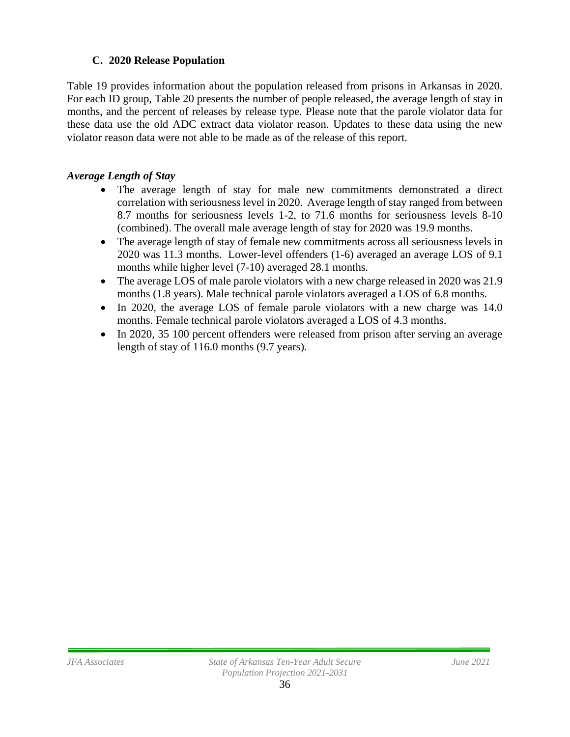### **C. 2020 Release Population**

Table 19 provides information about the population released from prisons in Arkansas in 2020. For each ID group, Table 20 presents the number of people released, the average length of stay in months, and the percent of releases by release type. Please note that the parole violator data for these data use the old ADC extract data violator reason. Updates to these data using the new violator reason data were not able to be made as of the release of this report.

### *Average Length of Stay*

- The average length of stay for male new commitments demonstrated a direct correlation with seriousness level in 2020. Average length of stay ranged from between 8.7 months for seriousness levels 1-2, to 71.6 months for seriousness levels 8-10 (combined). The overall male average length of stay for 2020 was 19.9 months.
- The average length of stay of female new commitments across all seriousness levels in 2020 was 11.3 months. Lower-level offenders (1-6) averaged an average LOS of 9.1 months while higher level (7-10) averaged 28.1 months.
- The average LOS of male parole violators with a new charge released in 2020 was 21.9 months (1.8 years). Male technical parole violators averaged a LOS of 6.8 months.
- In 2020, the average LOS of female parole violators with a new charge was 14.0 months. Female technical parole violators averaged a LOS of 4.3 months.
- In 2020, 35 100 percent offenders were released from prison after serving an average length of stay of 116.0 months (9.7 years).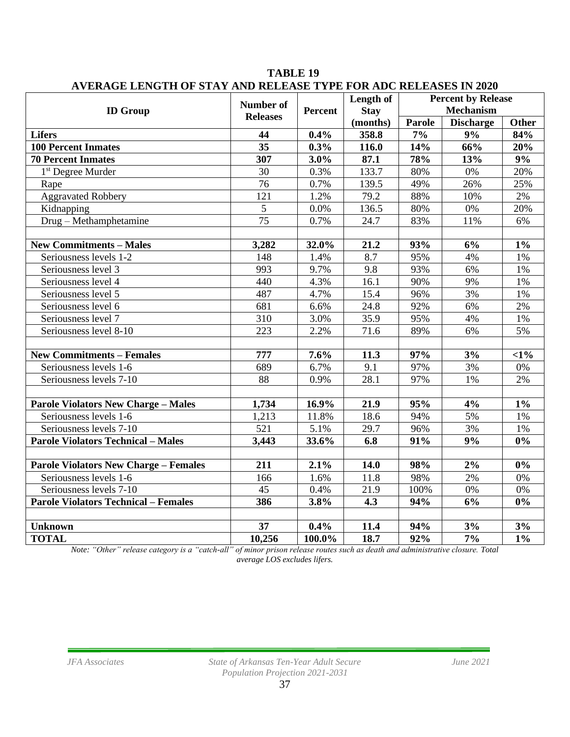| ектор еето на от отна не керенов татра ок нос кереново не воза | <b>Number of</b> |         | Length of         | <b>Percent by Release</b>  |                        |                     |
|----------------------------------------------------------------|------------------|---------|-------------------|----------------------------|------------------------|---------------------|
| <b>ID Group</b>                                                | <b>Releases</b>  | Percent | <b>Stay</b>       | <b>Mechanism</b><br>Parole |                        |                     |
| <b>Lifers</b>                                                  | 44               | 0.4%    | (months)<br>358.8 | 7%                         | <b>Discharge</b><br>9% | <b>Other</b><br>84% |
| <b>100 Percent Inmates</b>                                     | $\overline{35}$  | $0.3\%$ | 116.0             | 14%                        | 66%                    | 20%                 |
| <b>70 Percent Inmates</b>                                      | 307              | $3.0\%$ | 87.1              | 78%                        | 13%                    | 9%                  |
| 1 <sup>st</sup> Degree Murder                                  | 30               | 0.3%    | 133.7             | 80%                        | $0\%$                  | 20%                 |
|                                                                | 76               | 0.7%    | 139.5             | 49%                        | 26%                    | 25%                 |
| Rape                                                           | 121              |         | 79.2              | 88%                        |                        | 2%                  |
| <b>Aggravated Robbery</b>                                      | 5                | 1.2%    |                   |                            | 10%                    |                     |
| Kidnapping                                                     |                  | 0.0%    | 136.5             | 80%                        | 0%                     | 20%                 |
| Drug - Methamphetamine                                         | 75               | 0.7%    | 24.7              | 83%                        | 11%                    | 6%                  |
| <b>New Commitments - Males</b>                                 | 3,282            | 32.0%   | 21.2              | 93%                        | 6%                     | $1\%$               |
| Seriousness levels 1-2                                         | 148              | 1.4%    | 8.7               | 95%                        | 4%                     | 1%                  |
| Seriousness level 3                                            | 993              | 9.7%    | 9.8               | 93%                        | 6%                     | 1%                  |
| Seriousness level 4                                            | 440              | 4.3%    | 16.1              | 90%                        | 9%                     | 1%                  |
| Seriousness level 5                                            | 487              | 4.7%    | 15.4              | 96%                        | 3%                     | 1%                  |
| Seriousness level 6                                            | $\overline{681}$ | 6.6%    | $\overline{24.8}$ | 92%                        | 6%                     | 2%                  |
| Seriousness level 7                                            | 310              | 3.0%    | 35.9              | 95%                        | 4%                     | 1%                  |
| Seriousness level 8-10                                         | 223              | 2.2%    | 71.6              | 89%                        | 6%                     | 5%                  |
|                                                                |                  |         |                   |                            |                        |                     |
| <b>New Commitments - Females</b>                               | 777              | 7.6%    | 11.3              | 97%                        | 3%                     | $<1\%$              |
| Seriousness levels 1-6                                         | 689              | 6.7%    | 9.1               | 97%                        | 3%                     | 0%                  |
| Seriousness levels 7-10                                        | 88               | 0.9%    | 28.1              | 97%                        | 1%                     | 2%                  |
|                                                                |                  |         |                   |                            |                        |                     |
| <b>Parole Violators New Charge - Males</b>                     | 1,734            | 16.9%   | 21.9              | 95%                        | 4%                     | $1\%$               |
| Seriousness levels 1-6                                         | 1,213            | 11.8%   | 18.6              | 94%                        | 5%                     | 1%                  |
| Seriousness levels 7-10                                        | 521              | 5.1%    | 29.7              | 96%                        | 3%                     | $1\%$               |
| <b>Parole Violators Technical - Males</b>                      | 3,443            | 33.6%   | 6.8               | 91%                        | 9%                     | $\overline{0\%}$    |
|                                                                |                  |         |                   |                            |                        |                     |
| <b>Parole Violators New Charge - Females</b>                   | 211              | 2.1%    | 14.0              | 98%                        | 2%                     | $0\%$               |
| Seriousness levels 1-6                                         | 166              | 1.6%    | 11.8              | 98%                        | 2%                     | $0\%$               |
| Seriousness levels 7-10                                        | 45               | 0.4%    | 21.9              | 100%                       | $0\%$                  | 0%                  |
| <b>Parole Violators Technical - Females</b>                    | 386              | 3.8%    | 4.3               | 94%                        | 6%                     | 0%                  |
|                                                                |                  |         |                   |                            |                        |                     |
| <b>Unknown</b>                                                 | 37               | 0.4%    | 11.4              | 94%                        | 3%                     | 3%                  |
| <b>TOTAL</b>                                                   | 10,256           | 100.0%  | 18.7              | 92%                        | 7%                     | $1\%$               |

**TABLE 19 AVERAGE LENGTH OF STAY AND RELEASE TYPE FOR ADC RELEASES IN 2020**

*Note: "Other" release category is a "catch-all" of minor prison release routes such as death and administrative closure. Total average LOS excludes lifers.*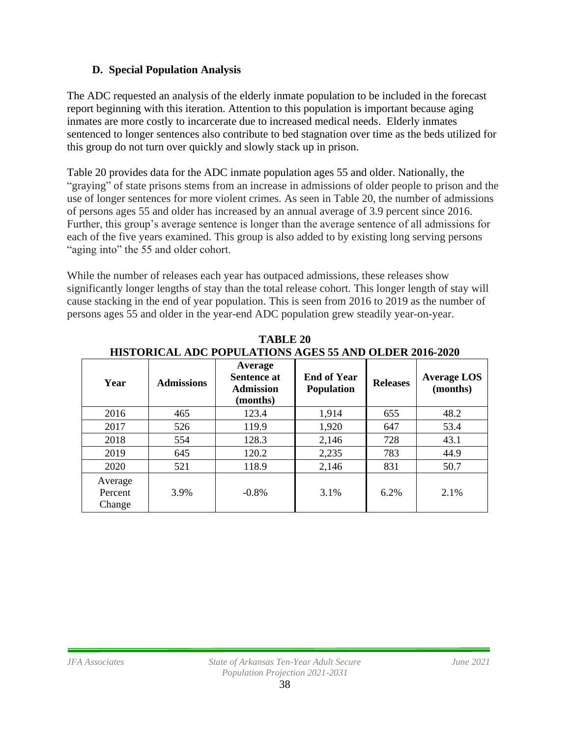### **D. Special Population Analysis**

The ADC requested an analysis of the elderly inmate population to be included in the forecast report beginning with this iteration. Attention to this population is important because aging inmates are more costly to incarcerate due to increased medical needs. Elderly inmates sentenced to longer sentences also contribute to bed stagnation over time as the beds utilized for this group do not turn over quickly and slowly stack up in prison.

Table 20 provides data for the ADC inmate population ages 55 and older. Nationally, the "graying" of state prisons stems from an increase in admissions of older people to prison and the use of longer sentences for more violent crimes. As seen in Table 20, the number of admissions of persons ages 55 and older has increased by an annual average of 3.9 percent since 2016. Further, this group's average sentence is longer than the average sentence of all admissions for each of the five years examined. This group is also added to by existing long serving persons "aging into" the 55 and older cohort.

While the number of releases each year has outpaced admissions, these releases show significantly longer lengths of stay than the total release cohort. This longer length of stay will cause stacking in the end of year population. This is seen from 2016 to 2019 as the number of persons ages 55 and older in the year-end ADC population grew steadily year-on-year.

| Year                         | <b>Admissions</b> | Average<br>Sentence at<br><b>Admission</b><br>(months) | <b>End of Year</b><br><b>Population</b> | <b>Releases</b> | <b>Average LOS</b><br>(months) |
|------------------------------|-------------------|--------------------------------------------------------|-----------------------------------------|-----------------|--------------------------------|
| 2016                         | 465               | 123.4                                                  | 1,914                                   | 655             | 48.2                           |
| 2017                         | 526               | 119.9                                                  | 1,920                                   | 647             | 53.4                           |
| 2018                         | 554               | 128.3                                                  | 2,146                                   | 728             | 43.1                           |
| 2019                         | 645               | 120.2                                                  | 2,235                                   | 783             | 44.9                           |
| 2020                         | 521               | 118.9                                                  | 2,146                                   | 831             | 50.7                           |
| Average<br>Percent<br>Change | 3.9%              | $-0.8\%$                                               | 3.1%                                    | 6.2%            | 2.1%                           |

**TABLE 20 HISTORICAL ADC POPULATIONS AGES 55 AND OLDER 2016-2020**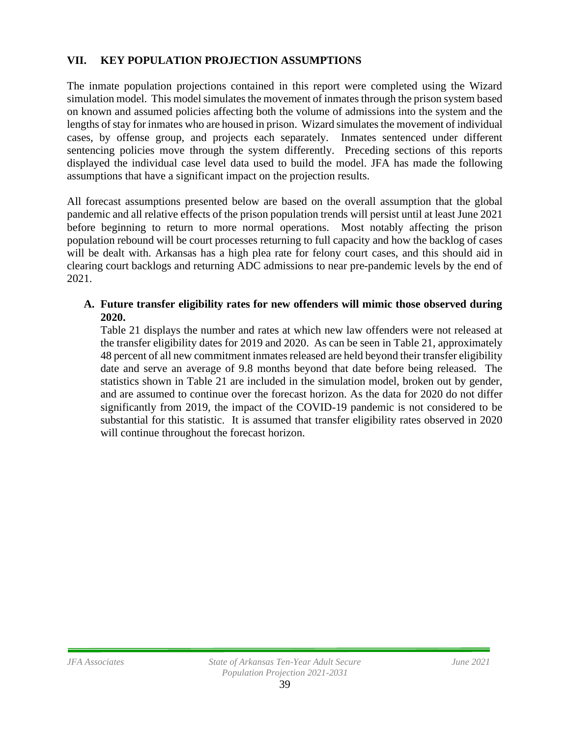### **VII. KEY POPULATION PROJECTION ASSUMPTIONS**

The inmate population projections contained in this report were completed using the Wizard simulation model. This model simulates the movement of inmates through the prison system based on known and assumed policies affecting both the volume of admissions into the system and the lengths of stay for inmates who are housed in prison. Wizard simulates the movement of individual cases, by offense group, and projects each separately. Inmates sentenced under different sentencing policies move through the system differently. Preceding sections of this reports displayed the individual case level data used to build the model. JFA has made the following assumptions that have a significant impact on the projection results.

All forecast assumptions presented below are based on the overall assumption that the global pandemic and all relative effects of the prison population trends will persist until at least June 2021 before beginning to return to more normal operations. Most notably affecting the prison population rebound will be court processes returning to full capacity and how the backlog of cases will be dealt with. Arkansas has a high plea rate for felony court cases, and this should aid in clearing court backlogs and returning ADC admissions to near pre-pandemic levels by the end of 2021.

### **A. Future transfer eligibility rates for new offenders will mimic those observed during 2020.**

Table 21 displays the number and rates at which new law offenders were not released at the transfer eligibility dates for 2019 and 2020. As can be seen in Table 21, approximately 48 percent of all new commitment inmates released are held beyond their transfer eligibility date and serve an average of 9.8 months beyond that date before being released. The statistics shown in Table 21 are included in the simulation model, broken out by gender, and are assumed to continue over the forecast horizon. As the data for 2020 do not differ significantly from 2019, the impact of the COVID-19 pandemic is not considered to be substantial for this statistic. It is assumed that transfer eligibility rates observed in 2020 will continue throughout the forecast horizon.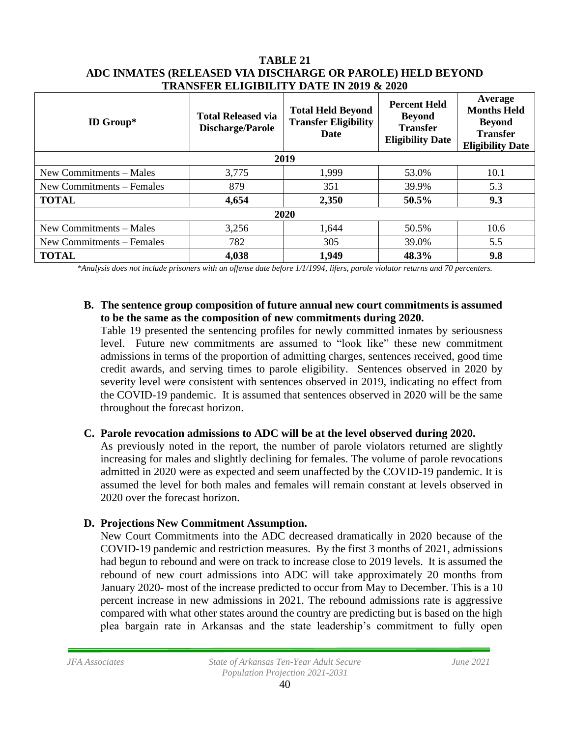| <b>ID Group*</b>          | <b>Total Released via</b><br><b>Discharge/Parole</b> | <b>Total Held Beyond</b><br><b>Transfer Eligibility</b><br><b>Date</b> | <b>Percent Held</b><br><b>Beyond</b><br><b>Transfer</b><br><b>Eligibility Date</b> | Average<br><b>Months Held</b><br><b>Beyond</b><br><b>Transfer</b><br><b>Eligibility Date</b> |  |  |  |  |
|---------------------------|------------------------------------------------------|------------------------------------------------------------------------|------------------------------------------------------------------------------------|----------------------------------------------------------------------------------------------|--|--|--|--|
|                           | 2019                                                 |                                                                        |                                                                                    |                                                                                              |  |  |  |  |
| New Commitments – Males   | 3,775                                                | 1,999                                                                  | 53.0%                                                                              | 10.1                                                                                         |  |  |  |  |
| New Commitments - Females | 879                                                  | 351                                                                    | 39.9%                                                                              | 5.3                                                                                          |  |  |  |  |
| <b>TOTAL</b>              | 4,654                                                | 2,350                                                                  | 50.5%                                                                              | 9.3                                                                                          |  |  |  |  |
| 2020                      |                                                      |                                                                        |                                                                                    |                                                                                              |  |  |  |  |
| New Commitments - Males   | 3,256                                                | 1,644                                                                  | 50.5%                                                                              | 10.6                                                                                         |  |  |  |  |
| New Commitments – Females | 782                                                  | 305                                                                    | 39.0%                                                                              | 5.5                                                                                          |  |  |  |  |
| <b>TOTAL</b>              | 4,038                                                | 1,949                                                                  | 48.3%                                                                              | 9.8                                                                                          |  |  |  |  |

#### **TABLE 21 ADC INMATES (RELEASED VIA DISCHARGE OR PAROLE) HELD BEYOND TRANSFER ELIGIBILITY DATE IN 2019 & 2020**

*\*Analysis does not include prisoners with an offense date before 1/1/1994, lifers, parole violator returns and 70 percenters.*

#### **B. The sentence group composition of future annual new court commitments is assumed to be the same as the composition of new commitments during 2020.**

Table 19 presented the sentencing profiles for newly committed inmates by seriousness level. Future new commitments are assumed to "look like" these new commitment admissions in terms of the proportion of admitting charges, sentences received, good time credit awards, and serving times to parole eligibility. Sentences observed in 2020 by severity level were consistent with sentences observed in 2019, indicating no effect from the COVID-19 pandemic. It is assumed that sentences observed in 2020 will be the same throughout the forecast horizon.

### **C. Parole revocation admissions to ADC will be at the level observed during 2020.**

As previously noted in the report, the number of parole violators returned are slightly increasing for males and slightly declining for females. The volume of parole revocations admitted in 2020 were as expected and seem unaffected by the COVID-19 pandemic. It is assumed the level for both males and females will remain constant at levels observed in 2020 over the forecast horizon.

### **D. Projections New Commitment Assumption.**

New Court Commitments into the ADC decreased dramatically in 2020 because of the COVID-19 pandemic and restriction measures. By the first 3 months of 2021, admissions had begun to rebound and were on track to increase close to 2019 levels. It is assumed the rebound of new court admissions into ADC will take approximately 20 months from January 2020- most of the increase predicted to occur from May to December. This is a 10 percent increase in new admissions in 2021. The rebound admissions rate is aggressive compared with what other states around the country are predicting but is based on the high plea bargain rate in Arkansas and the state leadership's commitment to fully open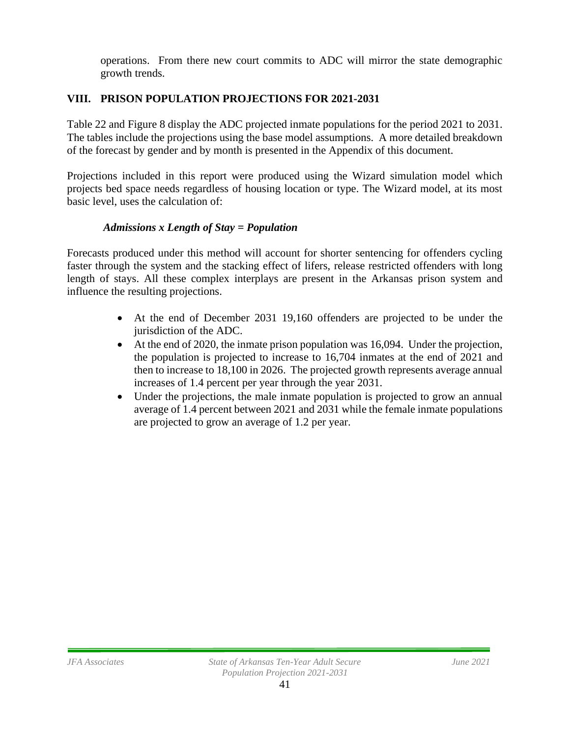operations. From there new court commits to ADC will mirror the state demographic growth trends.

### **VIII. PRISON POPULATION PROJECTIONS FOR 2021-2031**

Table 22 and Figure 8 display the ADC projected inmate populations for the period 2021 to 2031. The tables include the projections using the base model assumptions. A more detailed breakdown of the forecast by gender and by month is presented in the Appendix of this document.

Projections included in this report were produced using the Wizard simulation model which projects bed space needs regardless of housing location or type. The Wizard model, at its most basic level, uses the calculation of:

### *Admissions x Length of Stay = Population*

Forecasts produced under this method will account for shorter sentencing for offenders cycling faster through the system and the stacking effect of lifers, release restricted offenders with long length of stays. All these complex interplays are present in the Arkansas prison system and influence the resulting projections.

- At the end of December 2031 19,160 offenders are projected to be under the jurisdiction of the ADC.
- At the end of 2020, the inmate prison population was 16,094. Under the projection, the population is projected to increase to 16,704 inmates at the end of 2021 and then to increase to 18,100 in 2026. The projected growth represents average annual increases of 1.4 percent per year through the year 2031.
- Under the projections, the male inmate population is projected to grow an annual average of 1.4 percent between 2021 and 2031 while the female inmate populations are projected to grow an average of 1.2 per year.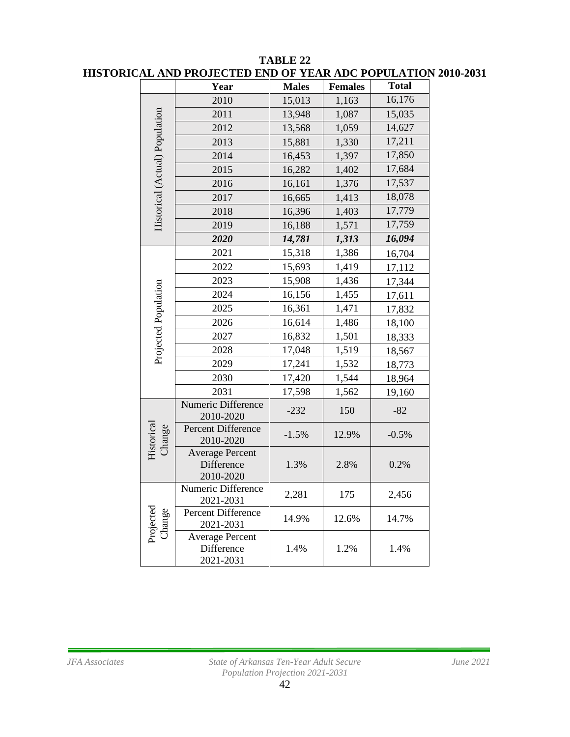|                                | AL AND I NOJECTED END OF TEAT                     |              |                | ADU I VI ULATIVI |
|--------------------------------|---------------------------------------------------|--------------|----------------|------------------|
|                                | Year                                              | <b>Males</b> | <b>Females</b> | <b>Total</b>     |
|                                | 2010                                              | 15,013       | 1,163          | 16,176           |
|                                | 2011                                              | 13,948       | 1,087          | 15,035           |
|                                | 2012                                              | 13,568       | 1,059          | 14,627           |
| Historical (Actual) Population | 2013                                              | 15,881       | 1,330          | 17,211           |
|                                | 2014                                              | 16,453       | 1,397          | 17,850           |
|                                | 2015                                              | 16,282       | 1,402          | 17,684           |
|                                | 2016                                              | 16,161       | 1,376          | 17,537           |
|                                | 2017                                              | 16,665       | 1,413          | 18,078           |
|                                | 2018                                              | 16,396       | 1,403          | 17,779           |
|                                | 2019                                              | 16,188       | 1,571          | 17,759           |
|                                | 2020                                              | 14,781       | 1,313          | 16,094           |
|                                | 2021                                              | 15,318       | 1,386          | 16,704           |
|                                | 2022                                              | 15,693       | 1,419          | 17,112           |
|                                | 2023                                              | 15,908       | 1,436          | 17,344           |
|                                | 2024                                              | 16,156       | 1,455          | 17,611           |
|                                | 2025                                              | 16,361       | 1,471          | 17,832           |
| Projected Population           | 2026                                              | 16,614       | 1,486          | 18,100           |
|                                | 2027                                              | 16,832       | 1,501          | 18,333           |
|                                | 2028                                              | 17,048       | 1,519          | 18,567           |
|                                | 2029                                              | 17,241       | 1,532          | 18,773           |
|                                | 2030                                              | 17,420       | 1,544          | 18,964           |
|                                | 2031                                              | 17,598       | 1,562          | 19,160           |
|                                | Numeric Difference<br>2010-2020                   | $-232$       | 150            | $-82$            |
| Historical<br>Change           | Percent Difference<br>2010-2020                   | $-1.5%$      | 12.9%          | $-0.5%$          |
|                                | <b>Average Percent</b><br>Difference<br>2010-2020 | 1.3%         | 2.8%           | 0.2%             |
|                                | Numeric Difference<br>2021-2031                   | 2,281        | 175            | 2,456            |
| Projected<br>Change            | Percent Difference<br>2021-2031                   | 14.9%        | 12.6%          | 14.7%            |
|                                | <b>Average Percent</b><br>Difference<br>2021-2031 | 1.4%         | 1.2%           | 1.4%             |

#### **TABLE 22 HISTORICAL AND PROJECTED END OF YEAR ADC POPULATION 2010-2031**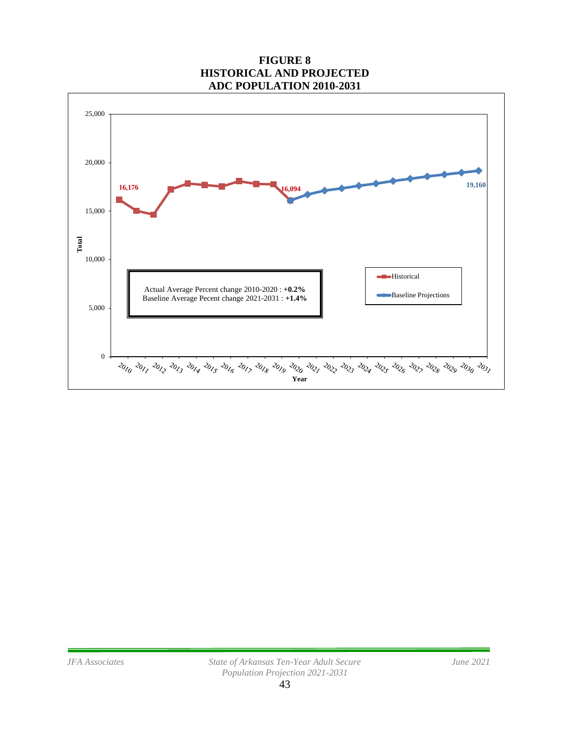### **FIGURE 8 HISTORICAL AND PROJECTED ADC POPULATION 2010-2031**

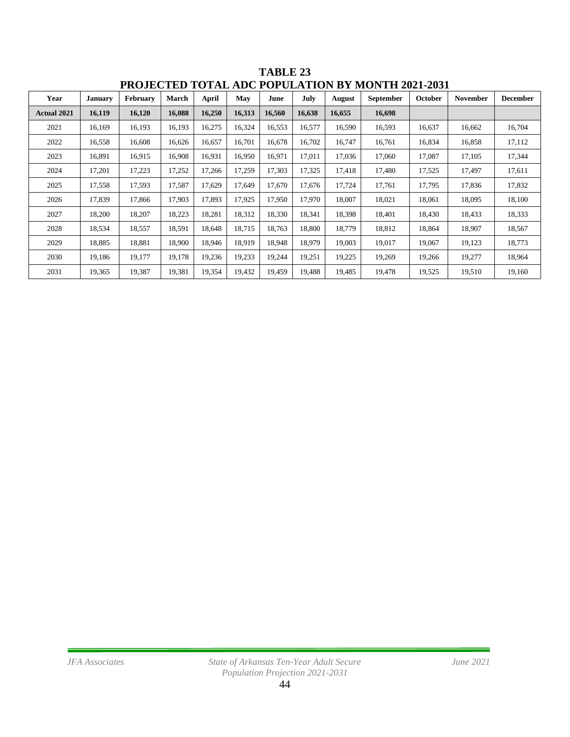| 1 INVJEV 1 E <i>V</i><br>TOTAL ADU TOI ULATION DI MONTH 2021-2031 |                |                 |              |        |        |        |        |        |           |         |                 |                 |
|-------------------------------------------------------------------|----------------|-----------------|--------------|--------|--------|--------|--------|--------|-----------|---------|-----------------|-----------------|
| Year                                                              | <b>January</b> | <b>February</b> | <b>March</b> | April  | May    | June   | July   | August | September | October | <b>November</b> | <b>December</b> |
| <b>Actual 2021</b>                                                | 16,119         | 16,120          | 16,088       | 16,250 | 16,313 | 16,560 | 16,638 | 16,655 | 16,698    |         |                 |                 |
| 2021                                                              | 16,169         | 16,193          | 16,193       | 16,275 | 16,324 | 16,553 | 16,577 | 16,590 | 16,593    | 16,637  | 16,662          | 16,704          |
| 2022                                                              | 16,558         | 16,608          | 16,626       | 16,657 | 16,701 | 16,678 | 16,702 | 16,747 | 16,761    | 16,834  | 16,858          | 17,112          |
| 2023                                                              | 16,891         | 16,915          | 16,908       | 16,931 | 16,950 | 16,971 | 17,011 | 17,036 | 17,060    | 17,087  | 17,105          | 17,344          |
| 2024                                                              | 17,201         | 17,223          | 17,252       | 17,266 | 17,259 | 17,303 | 17,325 | 17,418 | 17,480    | 17,525  | 17,497          | 17,611          |
| 2025                                                              | 17,558         | 17,593          | 17,587       | 17,629 | 17,649 | 17,670 | 17,676 | 17,724 | 17,761    | 17,795  | 17,836          | 17,832          |
| 2026                                                              | 17,839         | 17,866          | 17,903       | 17,893 | 17,925 | 17,950 | 17,970 | 18,007 | 18,021    | 18,061  | 18,095          | 18,100          |
| 2027                                                              | 18,200         | 18,207          | 18,223       | 18,281 | 18,312 | 18,330 | 18,341 | 18,398 | 18,401    | 18,430  | 18,433          | 18,333          |
| 2028                                                              | 18,534         | 18,557          | 18,591       | 18,648 | 18,715 | 18,763 | 18,800 | 18,779 | 18,812    | 18,864  | 18,907          | 18,567          |
| 2029                                                              | 18,885         | 18,881          | 18,900       | 18,946 | 18,919 | 18,948 | 18,979 | 19,003 | 19,017    | 19,067  | 19,123          | 18,773          |
| 2030                                                              | 19,186         | 19,177          | 19,178       | 19,236 | 19,233 | 19,244 | 19,251 | 19,225 | 19,269    | 19,266  | 19,277          | 18,964          |
| 2031                                                              | 19,365         | 19,387          | 19,381       | 19,354 | 19,432 | 19,459 | 19,488 | 19,485 | 19,478    | 19,525  | 19,510          | 19,160          |

**TABLE 23 PROJECTED TOTAL ADC POPULATION BY MONTH 2021-2031**

Ė.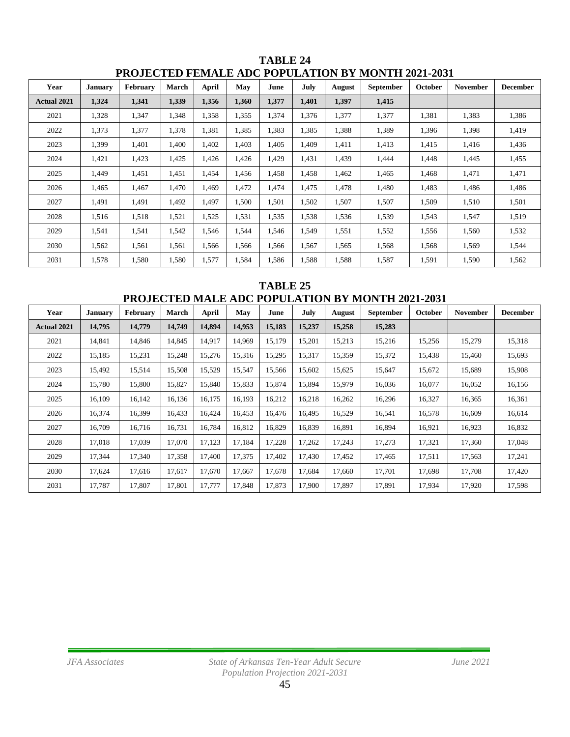| Year               | <b>January</b> | February | <b>March</b> | April | May   | June  | July  | <b>August</b> | <b>September</b> | October | <b>November</b> | <b>December</b> |
|--------------------|----------------|----------|--------------|-------|-------|-------|-------|---------------|------------------|---------|-----------------|-----------------|
| <b>Actual 2021</b> | 1,324          | 1,341    | 1,339        | 1,356 | 1,360 | 1,377 | 1,401 | 1,397         | 1,415            |         |                 |                 |
| 2021               | 1,328          | 1,347    | 1,348        | 1,358 | 1,355 | 1,374 | 1,376 | 1,377         | 1,377            | 1,381   | 1,383           | 1,386           |
| 2022               | 1,373          | 1,377    | 1,378        | 1,381 | 1,385 | 1,383 | 1,385 | 1,388         | 1,389            | 1,396   | 1,398           | 1,419           |
| 2023               | 1,399          | 1,401    | 1,400        | 1,402 | 1,403 | 1,405 | 1,409 | 1,411         | 1,413            | 1,415   | 1,416           | 1,436           |
| 2024               | 1,421          | 1,423    | 1,425        | 1,426 | 1,426 | 1,429 | 1,431 | 1,439         | 1,444            | 1,448   | 1,445           | 1,455           |
| 2025               | 1,449          | 1,451    | 1,451        | 1,454 | 1,456 | 1,458 | 1,458 | 1,462         | 1,465            | 1,468   | 1,471           | 1,471           |
| 2026               | 1,465          | 1,467    | 1,470        | 1,469 | 1,472 | 1,474 | 1,475 | 1,478         | 1,480            | 1,483   | 1,486           | 1,486           |
| 2027               | 1,491          | 1,491    | 1,492        | 1,497 | 1,500 | 1,501 | 1,502 | 1,507         | 1,507            | 1,509   | 1,510           | 1,501           |
| 2028               | 1,516          | 1,518    | 1,521        | 1,525 | 1,531 | 1,535 | 1,538 | 1,536         | 1,539            | 1,543   | 1,547           | 1,519           |
| 2029               | 1,541          | 1,541    | 1,542        | 1,546 | 1,544 | 1,546 | 1,549 | 1,551         | 1,552            | 1,556   | 1,560           | 1,532           |
| 2030               | 1,562          | 1,561    | 1,561        | 1,566 | 1,566 | 1,566 | 1,567 | 1,565         | 1,568            | 1,568   | 1,569           | 1,544           |
| 2031               | 1,578          | 1,580    | 1,580        | 1,577 | 1,584 | 1,586 | 1,588 | 1,588         | 1,587            | 1,591   | 1,590           | 1,562           |

**TABLE 24 PROJECTED FEMALE ADC POPULATION BY MONTH 2021-2031**

**TABLE 25 PROJECTED MALE ADC POPULATION BY MONTH 2021-2031**

| Year               | <b>January</b> | February | March  | April  | May    | June   | July   | <b>August</b> | <b>September</b> | October | November | <b>December</b> |
|--------------------|----------------|----------|--------|--------|--------|--------|--------|---------------|------------------|---------|----------|-----------------|
| <b>Actual 2021</b> | 14,795         | 14,779   | 14,749 | 14,894 | 14,953 | 15,183 | 15,237 | 15,258        | 15,283           |         |          |                 |
| 2021               | 14,841         | 14,846   | 14,845 | 14,917 | 14,969 | 15,179 | 15,201 | 15,213        | 15,216           | 15,256  | 15,279   | 15,318          |
| 2022               | 15,185         | 15,231   | 15,248 | 15,276 | 15,316 | 15,295 | 15,317 | 15,359        | 15,372           | 15,438  | 15,460   | 15,693          |
| 2023               | 15,492         | 15,514   | 15,508 | 15,529 | 15,547 | 15,566 | 15,602 | 15,625        | 15,647           | 15,672  | 15,689   | 15,908          |
| 2024               | 15,780         | 15,800   | 15,827 | 15,840 | 15,833 | 15.874 | 15.894 | 15.979        | 16.036           | 16,077  | 16,052   | 16,156          |
| 2025               | 16,109         | 16,142   | 16,136 | 16,175 | 16,193 | 16,212 | 16,218 | 16,262        | 16,296           | 16,327  | 16,365   | 16,361          |
| 2026               | 16,374         | 16,399   | 16,433 | 16,424 | 16,453 | 16,476 | 16,495 | 16,529        | 16,541           | 16,578  | 16,609   | 16,614          |
| 2027               | 16,709         | 16,716   | 16,731 | 16,784 | 16,812 | 16,829 | 16,839 | 16,891        | 16,894           | 16,921  | 16,923   | 16,832          |
| 2028               | 17,018         | 17.039   | 17,070 | 17,123 | 17,184 | 17,228 | 17,262 | 17,243        | 17,273           | 17,321  | 17,360   | 17,048          |
| 2029               | 17,344         | 17,340   | 17,358 | 17,400 | 17,375 | 17,402 | 17,430 | 17,452        | 17,465           | 17,511  | 17,563   | 17,241          |
| 2030               | 17,624         | 17,616   | 17,617 | 17,670 | 17,667 | 17,678 | 17,684 | 17,660        | 17,701           | 17,698  | 17,708   | 17,420          |
| 2031               | 17,787         | 17,807   | 17,801 | 17,777 | 17,848 | 17,873 | 17,900 | 17,897        | 17,891           | 17,934  | 17,920   | 17,598          |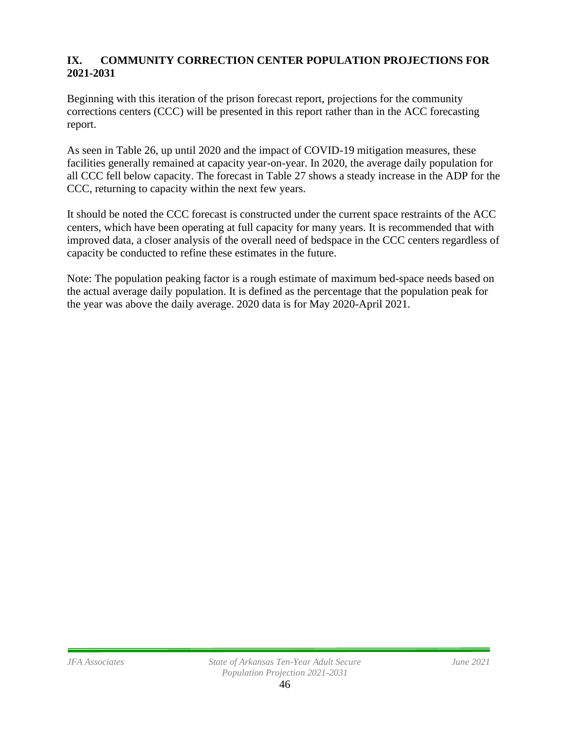### **IX. COMMUNITY CORRECTION CENTER POPULATION PROJECTIONS FOR 2021-2031**

Beginning with this iteration of the prison forecast report, projections for the community corrections centers (CCC) will be presented in this report rather than in the ACC forecasting report.

As seen in Table 26, up until 2020 and the impact of COVID-19 mitigation measures, these facilities generally remained at capacity year-on-year. In 2020, the average daily population for all CCC fell below capacity. The forecast in Table 27 shows a steady increase in the ADP for the CCC, returning to capacity within the next few years.

It should be noted the CCC forecast is constructed under the current space restraints of the ACC centers, which have been operating at full capacity for many years. It is recommended that with improved data, a closer analysis of the overall need of bedspace in the CCC centers regardless of capacity be conducted to refine these estimates in the future.

Note: The population peaking factor is a rough estimate of maximum bed-space needs based on the actual average daily population. It is defined as the percentage that the population peak for the year was above the daily average. 2020 data is for May 2020-April 2021.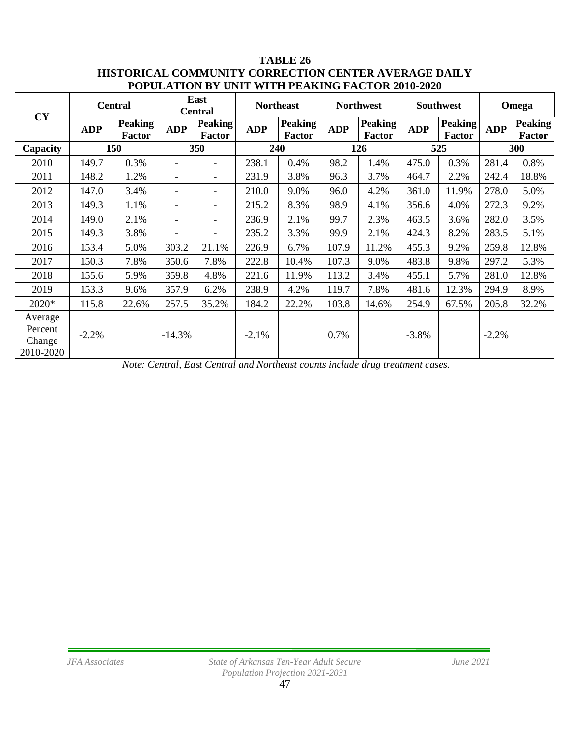### **TABLE 26 HISTORICAL COMMUNITY CORRECTION CENTER AVERAGE DAILY POPULATION BY UNIT WITH PEAKING FACTOR 2010-2020**

| CY                                        |            | <b>Central</b>           | East<br><b>Central</b>   |                                 | <b>Northeast</b> |                          | <b>Northwest</b> |                          | <b>Southwest</b> |                          | Omega      |                          |
|-------------------------------------------|------------|--------------------------|--------------------------|---------------------------------|------------------|--------------------------|------------------|--------------------------|------------------|--------------------------|------------|--------------------------|
|                                           | <b>ADP</b> | <b>Peaking</b><br>Factor | <b>ADP</b>               | <b>Peaking</b><br><b>Factor</b> | <b>ADP</b>       | <b>Peaking</b><br>Factor | <b>ADP</b>       | <b>Peaking</b><br>Factor | <b>ADP</b>       | <b>Peaking</b><br>Factor | <b>ADP</b> | <b>Peaking</b><br>Factor |
| Capacity                                  |            | 150                      | 350                      |                                 | 240              |                          | 126              |                          | 525              |                          | 300        |                          |
| 2010                                      | 149.7      | 0.3%                     | $\overline{\phantom{a}}$ | $\overline{\phantom{a}}$        | 238.1            | 0.4%                     | 98.2             | 1.4%                     | 475.0            | 0.3%                     | 281.4      | 0.8%                     |
| 2011                                      | 148.2      | 1.2%                     | $\overline{\phantom{a}}$ |                                 | 231.9            | 3.8%                     | 96.3             | 3.7%                     | 464.7            | 2.2%                     | 242.4      | 18.8%                    |
| 2012                                      | 147.0      | 3.4%                     | $\overline{\phantom{a}}$ |                                 | 210.0            | 9.0%                     | 96.0             | 4.2%                     | 361.0            | 11.9%                    | 278.0      | 5.0%                     |
| 2013                                      | 149.3      | 1.1%                     | $\overline{\phantom{a}}$ |                                 | 215.2            | 8.3%                     | 98.9             | 4.1%                     | 356.6            | 4.0%                     | 272.3      | 9.2%                     |
| 2014                                      | 149.0      | 2.1%                     | $\overline{\phantom{a}}$ | $\overline{\phantom{a}}$        | 236.9            | 2.1%                     | 99.7             | 2.3%                     | 463.5            | 3.6%                     | 282.0      | 3.5%                     |
| 2015                                      | 149.3      | 3.8%                     | $\overline{\phantom{a}}$ |                                 | 235.2            | 3.3%                     | 99.9             | 2.1%                     | 424.3            | 8.2%                     | 283.5      | 5.1%                     |
| 2016                                      | 153.4      | 5.0%                     | 303.2                    | 21.1%                           | 226.9            | 6.7%                     | 107.9            | 11.2%                    | 455.3            | 9.2%                     | 259.8      | 12.8%                    |
| 2017                                      | 150.3      | 7.8%                     | 350.6                    | 7.8%                            | 222.8            | 10.4%                    | 107.3            | 9.0%                     | 483.8            | 9.8%                     | 297.2      | 5.3%                     |
| 2018                                      | 155.6      | 5.9%                     | 359.8                    | 4.8%                            | 221.6            | 11.9%                    | 113.2            | 3.4%                     | 455.1            | 5.7%                     | 281.0      | 12.8%                    |
| 2019                                      | 153.3      | 9.6%                     | 357.9                    | 6.2%                            | 238.9            | 4.2%                     | 119.7            | 7.8%                     | 481.6            | 12.3%                    | 294.9      | 8.9%                     |
| 2020*                                     | 115.8      | 22.6%                    | 257.5                    | 35.2%                           | 184.2            | 22.2%                    | 103.8            | 14.6%                    | 254.9            | 67.5%                    | 205.8      | 32.2%                    |
| Average<br>Percent<br>Change<br>2010-2020 | $-2.2%$    |                          | $-14.3%$                 |                                 | $-2.1\%$         |                          | 0.7%             |                          | $-3.8%$          |                          | $-2.2%$    |                          |

*Note: Central, East Central and Northeast counts include drug treatment cases.*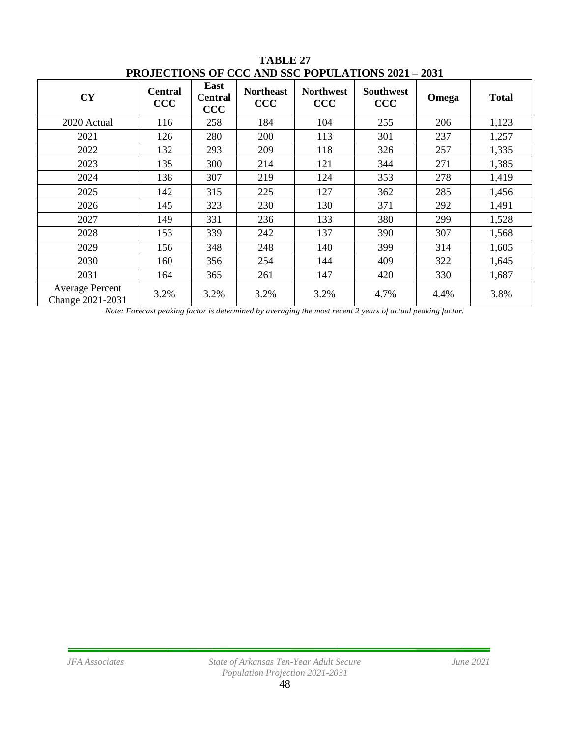| <b>CY</b>                                  | <b>Central</b><br>CCC | East<br><b>Central</b><br>$\bf{CCC}$ | <b>Northeast</b><br><b>CCC</b> | <b>Northwest</b><br><b>CCC</b> | <b>Southwest</b><br>CCC | Omega | <b>Total</b> |  |  |  |  |  |
|--------------------------------------------|-----------------------|--------------------------------------|--------------------------------|--------------------------------|-------------------------|-------|--------------|--|--|--|--|--|
| 2020 Actual                                | 116                   | 258                                  | 184                            | 104                            | 255                     | 206   | 1,123        |  |  |  |  |  |
| 2021                                       | 126                   | 280                                  | 200                            | 113                            | 301                     | 237   | 1,257        |  |  |  |  |  |
| 2022                                       | 132                   | 293                                  | 209                            | 118                            | 326                     | 257   | 1,335        |  |  |  |  |  |
| 2023                                       | 135                   | 300                                  | 214                            | 121                            | 344                     | 271   | 1,385        |  |  |  |  |  |
| 2024                                       | 138                   | 307                                  | 219                            | 124                            | 353                     | 278   | 1,419        |  |  |  |  |  |
| 2025                                       | 142                   | 315                                  | 225                            | 127                            | 362                     | 285   | 1,456        |  |  |  |  |  |
| 2026                                       | 145                   | 323                                  | 230                            | 130                            | 371                     | 292   | 1,491        |  |  |  |  |  |
| 2027                                       | 149                   | 331                                  | 236                            | 133                            | 380                     | 299   | 1,528        |  |  |  |  |  |
| 2028                                       | 153                   | 339                                  | 242                            | 137                            | 390                     | 307   | 1,568        |  |  |  |  |  |
| 2029                                       | 156                   | 348                                  | 248                            | 140                            | 399                     | 314   | 1,605        |  |  |  |  |  |
| 2030                                       | 160                   | 356                                  | 254                            | 144                            | 409                     | 322   | 1,645        |  |  |  |  |  |
| 2031                                       | 164                   | 365                                  | 261                            | 147                            | 420                     | 330   | 1,687        |  |  |  |  |  |
| <b>Average Percent</b><br>Change 2021-2031 | 3.2%                  | 3.2%                                 | 3.2%                           | 3.2%                           | 4.7%                    | 4.4%  | 3.8%         |  |  |  |  |  |

**TABLE 27 PROJECTIONS OF CCC AND SSC POPULATIONS 2021 – 2031**

*Note: Forecast peaking factor is determined by averaging the most recent 2 years of actual peaking factor.*